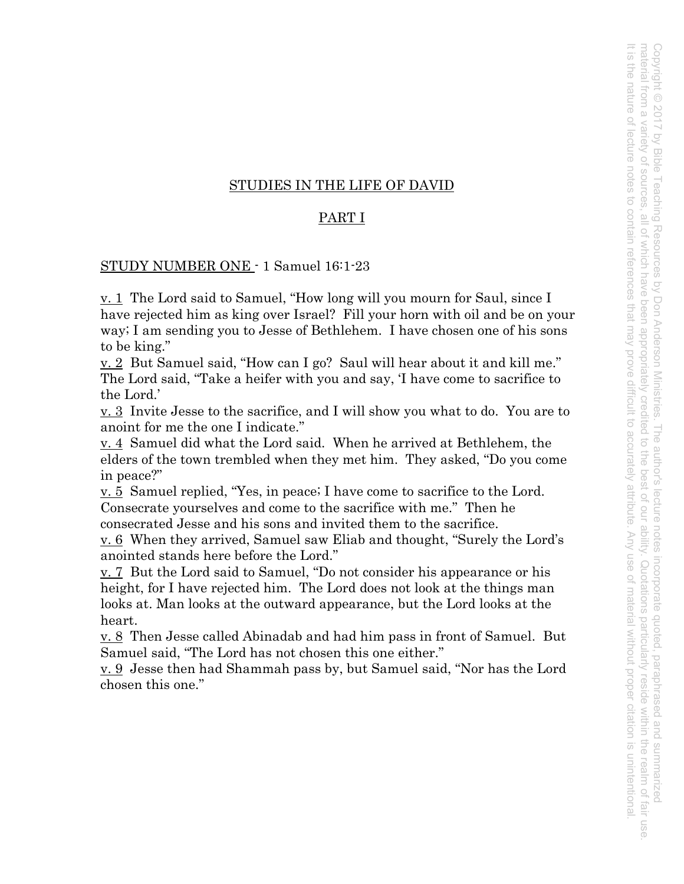# STUDIES IN THE LIFE OF DAVID

# PART I

# STUDY NUMBER ONE - 1 Samuel 16:1-23

<u>v. 1</u> The Lord said to Samuel, "How long will you mourn for Saul, since I have rejected him as king over Israel? Fill your horn with oil and be on your way; I am sending you to Jesse of Bethlehem. I have chosen one of his sons to be king."

v. 2 But Samuel said, "How can I go? Saul will hear about it and kill me." The Lord said, "Take a heifer with you and say, 'I have come to sacrifice to the Lord.'

v. 3 Invite Jesse to the sacrifice, and I will show you what to do. You are to anoint for me the one I indicate."

v. 4 Samuel did what the Lord said. When he arrived at Bethlehem, the elders of the town trembled when they met him. They asked, "Do you come in peace?"

v. 5 Samuel replied, "Yes, in peace; I have come to sacrifice to the Lord. Consecrate yourselves and come to the sacrifice with me." Then he consecrated Jesse and his sons and invited them to the sacrifice.

<u>v. 6</u> When they arrived, Samuel saw Eliab and thought, "Surely the Lord's anointed stands here before the Lord."

v. 7 But the Lord said to Samuel, "Do not consider his appearance or his height, for I have rejected him. The Lord does not look at the things man looks at. Man looks at the outward appearance, but the Lord looks at the heart.

<u>v. 8</u> Then Jesse called Abinadab and had him pass in front of Samuel. But Samuel said, "The Lord has not chosen this one either."

<u>v. 9</u> Jesse then had Shammah pass by, but Samuel said, "Nor has the Lord chosen this one."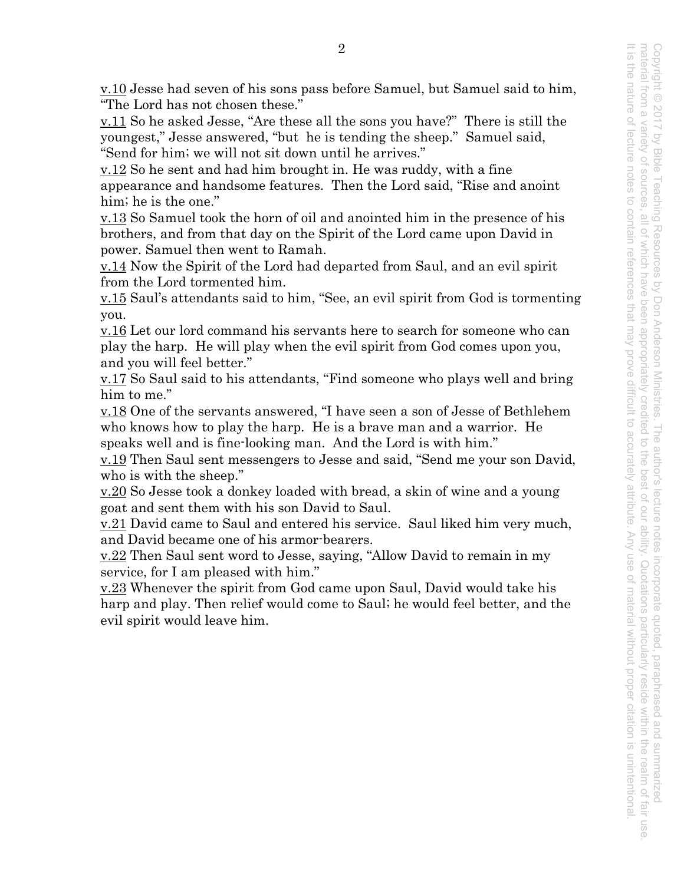v.10 Jesse had seven of his sons pass before Samuel, but Samuel said to him, "The Lord has not chosen these."

 $v.11$  So he asked Jesse, "Are these all the sons you have?" There is still the youngest," Jesse answered, "but he is tending the sheep." Samuel said, "Send for him; we will not sit down until he arrives."

v.12 So he sent and had him brought in. He was ruddy, with a fine appearance and handsome features. Then the Lord said, "Rise and anoint him; he is the one."

v.13 So Samuel took the horn of oil and anointed him in the presence of his brothers, and from that day on the Spirit of the Lord came upon David in power. Samuel then went to Ramah.

 $v.14$  Now the Spirit of the Lord had departed from Saul, and an evil spirit from the Lord tormented him.

 $v.15$  Saul's attendants said to him, "See, an evil spirit from God is tormenting you.

<u>v.16</u> Let our lord command his servants here to search for someone who can play the harp. He will play when the evil spirit from God comes upon you, and you will feel better."

 $v.17$  So Saul said to his attendants, "Find someone who plays well and bring him to me."

v.18 One of the servants answered, "I have seen a son of Jesse of Bethlehem who knows how to play the harp. He is a brave man and a warrior. He speaks well and is fine-looking man. And the Lord is with him."

v.19 Then Saul sent messengers to Jesse and said, "Send me your son David, who is with the sheep."

v.20 So Jesse took a donkey loaded with bread, a skin of wine and a young goat and sent them with his son David to Saul.

v.21 David came to Saul and entered his service. Saul liked him very much, and David became one of his armor-bearers.

v.22 Then Saul sent word to Jesse, saying, "Allow David to remain in my service, for I am pleased with him."

v.23 Whenever the spirit from God came upon Saul, David would take his harp and play. Then relief would come to Saul; he would feel better, and the evil spirit would leave him.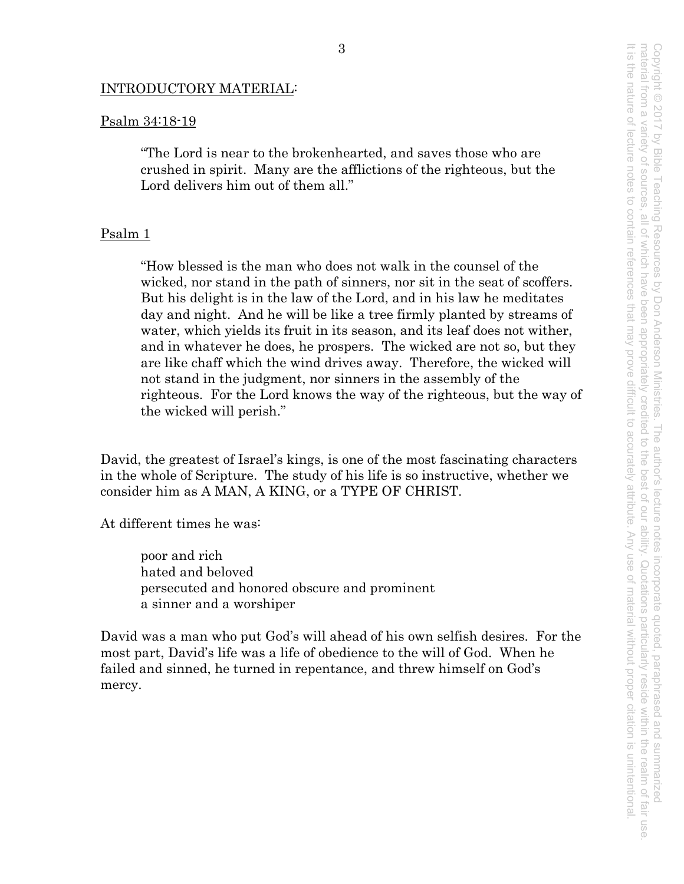## INTRODUCTORY MATERIAL:

#### Psalm 34:18-19

"The Lord is near to the brokenhearted, and saves those who are crushed in spirit. Many are the afflictions of the righteous, but the Lord delivers him out of them all."

## Psalm 1

"How blessed is the man who does not walk in the counsel of the wicked, nor stand in the path of sinners, nor sit in the seat of scoffers. But his delight is in the law of the Lord, and in his law he meditates day and night. And he will be like a tree firmly planted by streams of water, which yields its fruit in its season, and its leaf does not wither, and in whatever he does, he prospers. The wicked are not so, but they are like chaff which the wind drives away. Therefore, the wicked will not stand in the judgment, nor sinners in the assembly of the righteous. For the Lord knows the way of the righteous, but the way of the wicked will perish."

David, the greatest of Israel's kings, is one of the most fascinating characters in the whole of Scripture. The study of his life is so instructive, whether we consider him as A MAN, A KING, or a TYPE OF CHRIST.

At different times he was:

poor and rich hated and beloved persecuted and honored obscure and prominent a sinner and a worshiper

David was a man who put God's will ahead of his own selfish desires. For the most part, David's life was a life of obedience to the will of God. When he failed and sinned, he turned in repentance, and threw himself on God's mercy.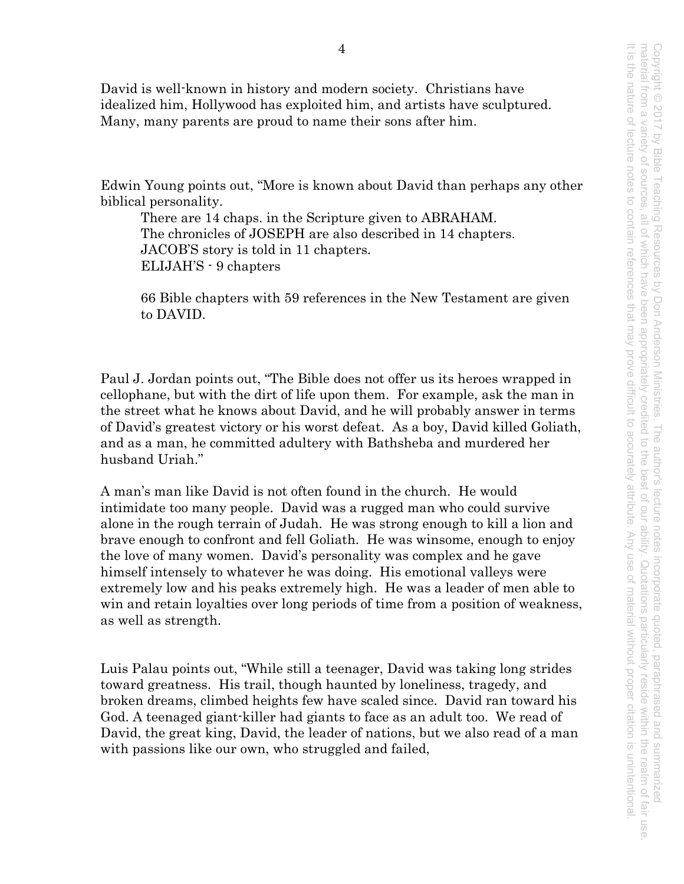David is well-known in history and modern society. Christians have idealized him, Hollywood has exploited him, and artists have sculptured. Many, many parents are proud to name their sons after him.

Edwin Young points out, "More is known about David than perhaps any other biblical personality.

There are 14 chaps. in the Scripture given to ABRAHAM. The chronicles of JOSEPH are also described in 14 chapters. JACOB'S story is told in 11 chapters. ELIJAH'S - 9 chapters

66 Bible chapters with 59 references in the New Testament are given to DAVID.

Paul J. Jordan points out, "The Bible does not offer us its heroes wrapped in cellophane, but with the dirt of life upon them. For example, ask the man in the street what he knows about David, and he will probably answer in terms of David's greatest victory or his worst defeat. As a boy, David killed Goliath, and as a man, he committed adultery with Bathsheba and murdered her husband Uriah."

A man's man like David is not often found in the church. He would intimidate too many people. David was a rugged man who could survive alone in the rough terrain of Judah. He was strong enough to kill a lion and brave enough to confront and fell Goliath. He was winsome, enough to enjoy the love of many women. David's personality was complex and he gave himself intensely to whatever he was doing. His emotional valleys were extremely low and his peaks extremely high. He was a leader of men able to win and retain loyalties over long periods of time from a position of weakness, as well as strength.

Luis Palau points out, "While still a teenager, David was taking long strides toward greatness. His trail, though haunted by loneliness, tragedy, and broken dreams, climbed heights few have scaled since. David ran toward his God. A teenaged giant-killer had giants to face as an adult too. We read of David, the great king, David, the leader of nations, but we also read of a man with passions like our own, who struggled and failed,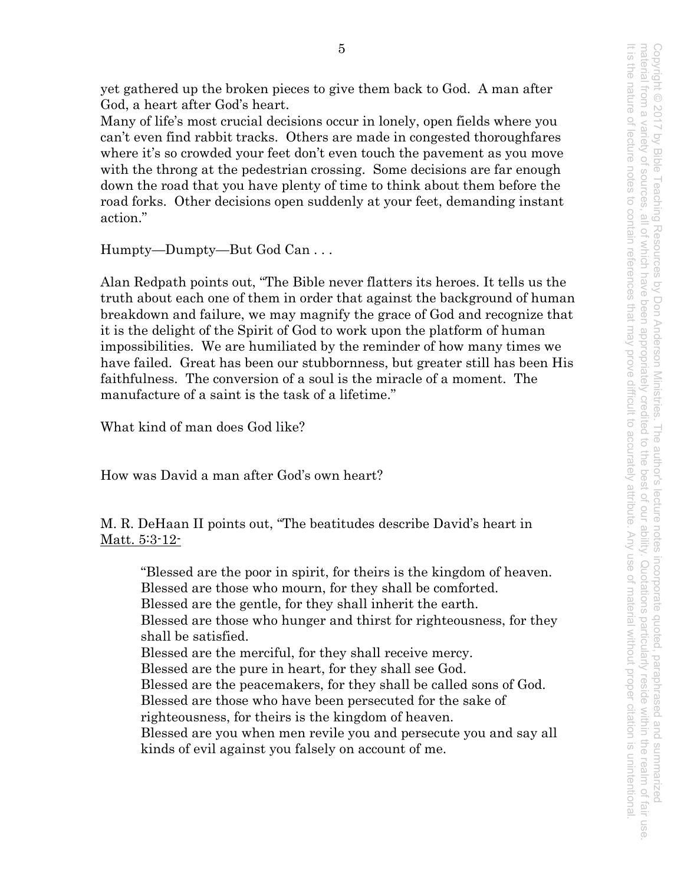yet gathered up the broken pieces to give them back to God. A man after God, a heart after God's heart.

Many of life's most crucial decisions occur in lonely, open fields where you can't even find rabbit tracks. Others are made in congested thoroughfares where it's so crowded your feet don't even touch the pavement as you move with the throng at the pedestrian crossing. Some decisions are far enough down the road that you have plenty of time to think about them before the road forks. Other decisions open suddenly at your feet, demanding instant action."

Humpty—Dumpty—But God Can . . .

Alan Redpath points out, "The Bible never flatters its heroes. It tells us the truth about each one of them in order that against the background of human breakdown and failure, we may magnify the grace of God and recognize that it is the delight of the Spirit of God to work upon the platform of human impossibilities. We are humiliated by the reminder of how many times we have failed. Great has been our stubbornness, but greater still has been His faithfulness. The conversion of a soul is the miracle of a moment. The manufacture of a saint is the task of a lifetime."

What kind of man does God like?

How was David a man after God's own heart?

M. R. DeHaan II points out, "The beatitudes describe David's heart in Matt. 5:3-12-

"Blessed are the poor in spirit, for theirs is the kingdom of heaven. Blessed are those who mourn, for they shall be comforted. Blessed are the gentle, for they shall inherit the earth. Blessed are those who hunger and thirst for righteousness, for they shall be satisfied. Blessed are the merciful, for they shall receive mercy. Blessed are the pure in heart, for they shall see God. Blessed are the peacemakers, for they shall be called sons of God. Blessed are those who have been persecuted for the sake of righteousness, for theirs is the kingdom of heaven. Blessed are you when men revile you and persecute you and say all kinds of evil against you falsely on account of me.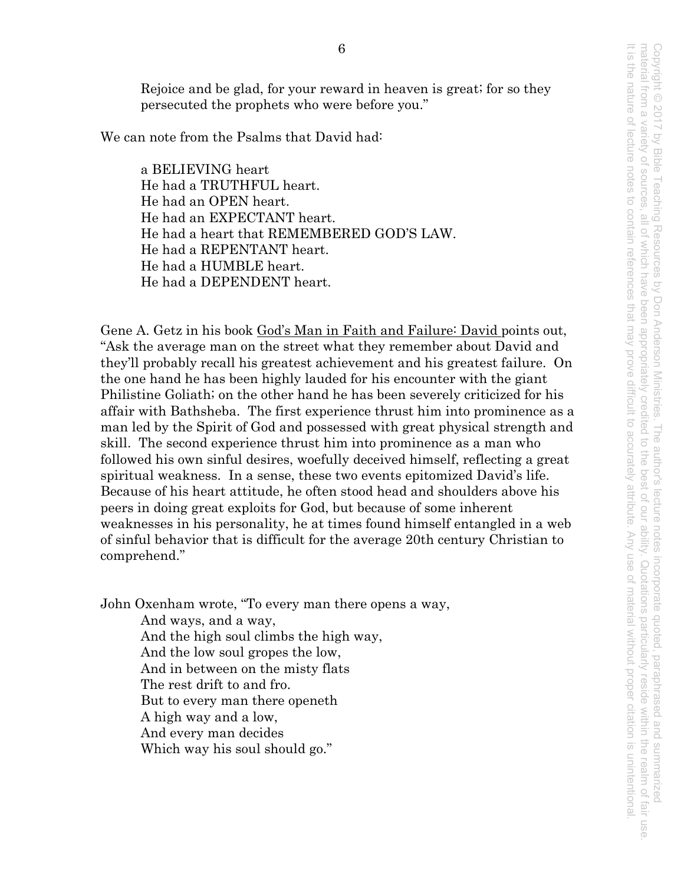Rejoice and be glad, for your reward in heaven is great; for so they persecuted the prophets who were before you."

We can note from the Psalms that David had:

a BELIEVING heart He had a TRUTHFUL heart. He had an OPEN heart. He had an EXPECTANT heart. He had a heart that REMEMBERED GOD'S LAW. He had a REPENTANT heart. He had a HUMBLE heart. He had a DEPENDENT heart.

Gene A. Getz in his book God's Man in Faith and Failure: David points out, "Ask the average man on the street what they remember about David and they'll probably recall his greatest achievement and his greatest failure. On the one hand he has been highly lauded for his encounter with the giant Philistine Goliath; on the other hand he has been severely criticized for his affair with Bathsheba. The first experience thrust him into prominence as a man led by the Spirit of God and possessed with great physical strength and skill. The second experience thrust him into prominence as a man who followed his own sinful desires, woefully deceived himself, reflecting a great spiritual weakness. In a sense, these two events epitomized David's life. Because of his heart attitude, he often stood head and shoulders above his peers in doing great exploits for God, but because of some inherent weaknesses in his personality, he at times found himself entangled in a web of sinful behavior that is difficult for the average 20th century Christian to comprehend."

John Oxenham wrote, "To every man there opens a way,

And ways, and a way, And the high soul climbs the high way, And the low soul gropes the low, And in between on the misty flats The rest drift to and fro. But to every man there openeth A high way and a low, And every man decides Which way his soul should go."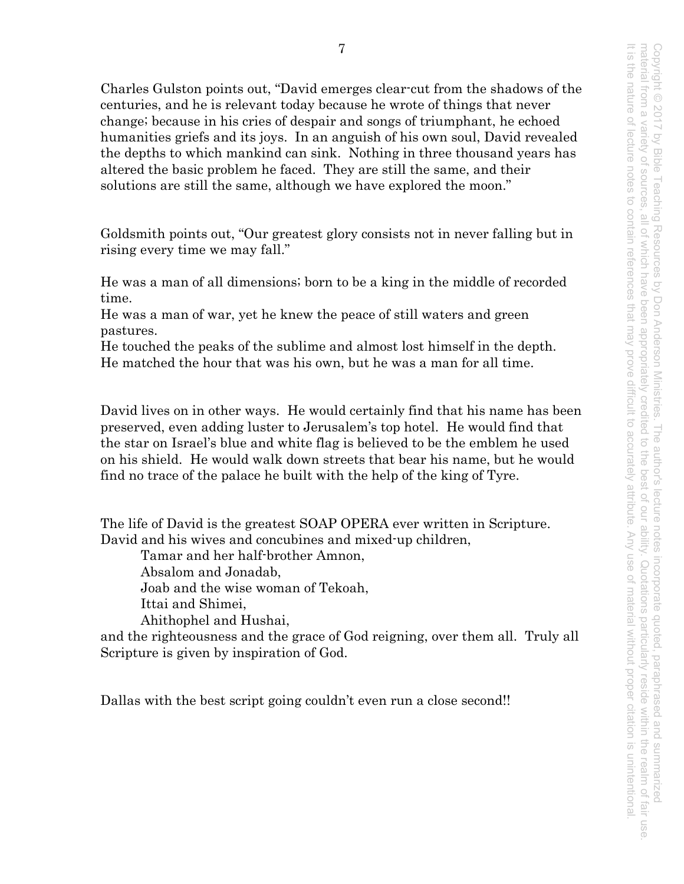Charles Gulston points out, "David emerges clear-cut from the shadows of the centuries, and he is relevant today because he wrote of things that never change; because in his cries of despair and songs of triumphant, he echoed humanities griefs and its joys. In an anguish of his own soul, David revealed the depths to which mankind can sink. Nothing in three thousand years has altered the basic problem he faced. They are still the same, and their solutions are still the same, although we have explored the moon."

Goldsmith points out, "Our greatest glory consists not in never falling but in rising every time we may fall."

He was a man of all dimensions; born to be a king in the middle of recorded time.

He was a man of war, yet he knew the peace of still waters and green pastures.

He touched the peaks of the sublime and almost lost himself in the depth. He matched the hour that was his own, but he was a man for all time.

David lives on in other ways. He would certainly find that his name has been preserved, even adding luster to Jerusalem's top hotel. He would find that the star on Israel's blue and white flag is believed to be the emblem he used on his shield. He would walk down streets that bear his name, but he would find no trace of the palace he built with the help of the king of Tyre.

The life of David is the greatest SOAP OPERA ever written in Scripture. David and his wives and concubines and mixed-up children,

Tamar and her half-brother Amnon,

Absalom and Jonadab,

Joab and the wise woman of Tekoah,

Ittai and Shimei,

Ahithophel and Hushai,

and the righteousness and the grace of God reigning, over them all. Truly all Scripture is given by inspiration of God.

Dallas with the best script going couldn't even run a close second!!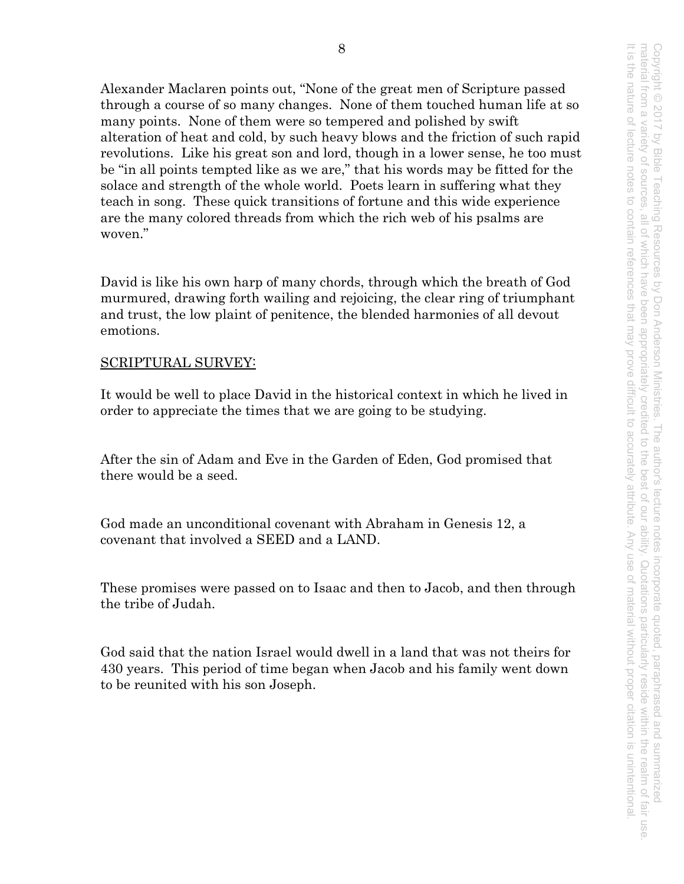Alexander Maclaren points out, "None of the great men of Scripture passed through a course of so many changes. None of them touched human life at so many points. None of them were so tempered and polished by swift alteration of heat and cold, by such heavy blows and the friction of such rapid revolutions. Like his great son and lord, though in a lower sense, he too must be "in all points tempted like as we are," that his words may be fitted for the solace and strength of the whole world. Poets learn in suffering what they teach in song. These quick transitions of fortune and this wide experience are the many colored threads from which the rich web of his psalms are woven."

David is like his own harp of many chords, through which the breath of God murmured, drawing forth wailing and rejoicing, the clear ring of triumphant and trust, the low plaint of penitence, the blended harmonies of all devout emotions.

## SCRIPTURAL SURVEY:

It would be well to place David in the historical context in which he lived in order to appreciate the times that we are going to be studying.

After the sin of Adam and Eve in the Garden of Eden, God promised that there would be a seed.

God made an unconditional covenant with Abraham in Genesis 12, a covenant that involved a SEED and a LAND.

These promises were passed on to Isaac and then to Jacob, and then through the tribe of Judah.

God said that the nation Israel would dwell in a land that was not theirs for 430 years. This period of time began when Jacob and his family went down to be reunited with his son Joseph.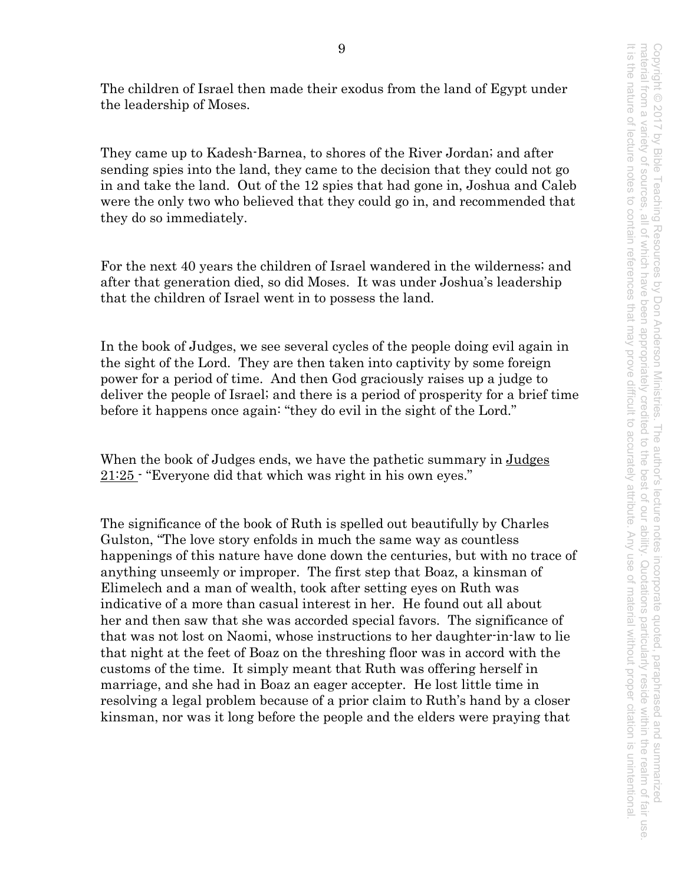The children of Israel then made their exodus from the land of Egypt under the leadership of Moses.

They came up to Kadesh-Barnea, to shores of the River Jordan; and after sending spies into the land, they came to the decision that they could not go in and take the land. Out of the 12 spies that had gone in, Joshua and Caleb were the only two who believed that they could go in, and recommended that they do so immediately.

For the next 40 years the children of Israel wandered in the wilderness; and after that generation died, so did Moses. It was under Joshua's leadership that the children of Israel went in to possess the land.

In the book of Judges, we see several cycles of the people doing evil again in the sight of the Lord. They are then taken into captivity by some foreign power for a period of time. And then God graciously raises up a judge to deliver the people of Israel; and there is a period of prosperity for a brief time before it happens once again: "they do evil in the sight of the Lord."

When the book of Judges ends, we have the pathetic summary in Judges 21:25 - "Everyone did that which was right in his own eyes."

The significance of the book of Ruth is spelled out beautifully by Charles Gulston, "The love story enfolds in much the same way as countless happenings of this nature have done down the centuries, but with no trace of anything unseemly or improper. The first step that Boaz, a kinsman of Elimelech and a man of wealth, took after setting eyes on Ruth was indicative of a more than casual interest in her. He found out all about her and then saw that she was accorded special favors. The significance of that was not lost on Naomi, whose instructions to her daughter-in-law to lie that night at the feet of Boaz on the threshing floor was in accord with the customs of the time. It simply meant that Ruth was offering herself in marriage, and she had in Boaz an eager accepter. He lost little time in resolving a legal problem because of a prior claim to Ruth's hand by a closer kinsman, nor was it long before the people and the elders were praying that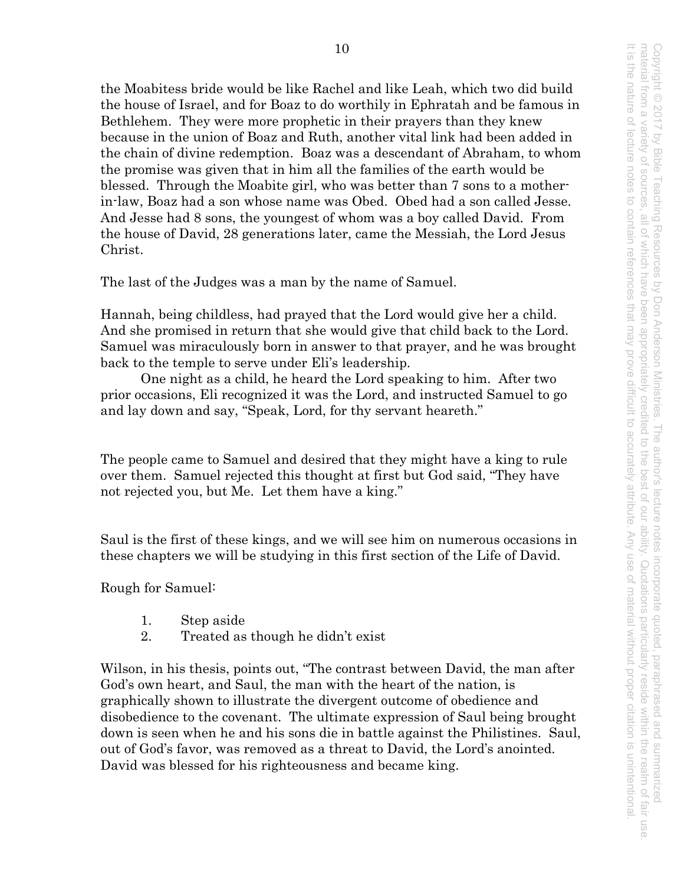the Moabitess bride would be like Rachel and like Leah, which two did build the house of Israel, and for Boaz to do worthily in Ephratah and be famous in Bethlehem. They were more prophetic in their prayers than they knew because in the union of Boaz and Ruth, another vital link had been added in the chain of divine redemption. Boaz was a descendant of Abraham, to whom the promise was given that in him all the families of the earth would be blessed. Through the Moabite girl, who was better than 7 sons to a motherin-law, Boaz had a son whose name was Obed. Obed had a son called Jesse. And Jesse had 8 sons, the youngest of whom was a boy called David. From the house of David, 28 generations later, came the Messiah, the Lord Jesus Christ.

The last of the Judges was a man by the name of Samuel.

Hannah, being childless, had prayed that the Lord would give her a child. And she promised in return that she would give that child back to the Lord. Samuel was miraculously born in answer to that prayer, and he was brought back to the temple to serve under Eli's leadership.

One night as a child, he heard the Lord speaking to him. After two prior occasions, Eli recognized it was the Lord, and instructed Samuel to go and lay down and say, "Speak, Lord, for thy servant heareth."

The people came to Samuel and desired that they might have a king to rule over them. Samuel rejected this thought at first but God said, "They have not rejected you, but Me. Let them have a king."

Saul is the first of these kings, and we will see him on numerous occasions in these chapters we will be studying in this first section of the Life of David.

Rough for Samuel:

- 1. Step aside
- 2. Treated as though he didn't exist

Wilson, in his thesis, points out, "The contrast between David, the man after God's own heart, and Saul, the man with the heart of the nation, is graphically shown to illustrate the divergent outcome of obedience and disobedience to the covenant. The ultimate expression of Saul being brought down is seen when he and his sons die in battle against the Philistines. Saul, out of God's favor, was removed as a threat to David, the Lord's anointed. David was blessed for his righteousness and became king.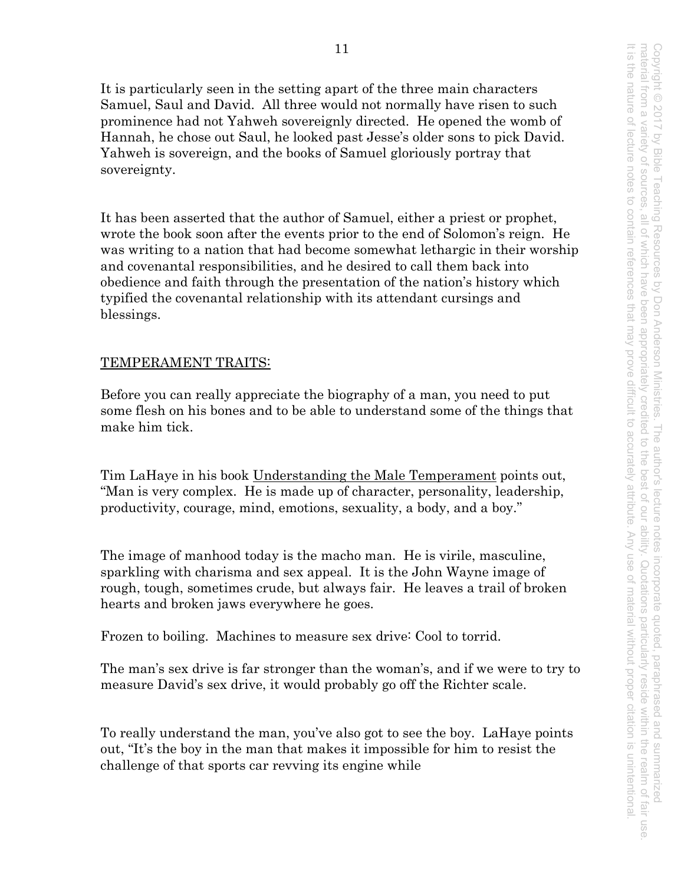It is particularly seen in the setting apart of the three main characters Samuel, Saul and David. All three would not normally have risen to such prominence had not Yahweh sovereignly directed. He opened the womb of Hannah, he chose out Saul, he looked past Jesse's older sons to pick David. Yahweh is sovereign, and the books of Samuel gloriously portray that sovereignty.

It has been asserted that the author of Samuel, either a priest or prophet, wrote the book soon after the events prior to the end of Solomon's reign. He was writing to a nation that had become somewhat lethargic in their worship and covenantal responsibilities, and he desired to call them back into obedience and faith through the presentation of the nation's history which typified the covenantal relationship with its attendant cursings and blessings.

## TEMPERAMENT TRAITS:

Before you can really appreciate the biography of a man, you need to put some flesh on his bones and to be able to understand some of the things that make him tick.

Tim LaHaye in his book Understanding the Male Temperament points out, "Man is very complex. He is made up of character, personality, leadership, productivity, courage, mind, emotions, sexuality, a body, and a boy."

The image of manhood today is the macho man. He is virile, masculine, sparkling with charisma and sex appeal. It is the John Wayne image of rough, tough, sometimes crude, but always fair. He leaves a trail of broken hearts and broken jaws everywhere he goes.

Frozen to boiling. Machines to measure sex drive: Cool to torrid.

The man's sex drive is far stronger than the woman's, and if we were to try to measure David's sex drive, it would probably go off the Richter scale.

To really understand the man, you've also got to see the boy. LaHaye points out, "It's the boy in the man that makes it impossible for him to resist the challenge of that sports car revving its engine while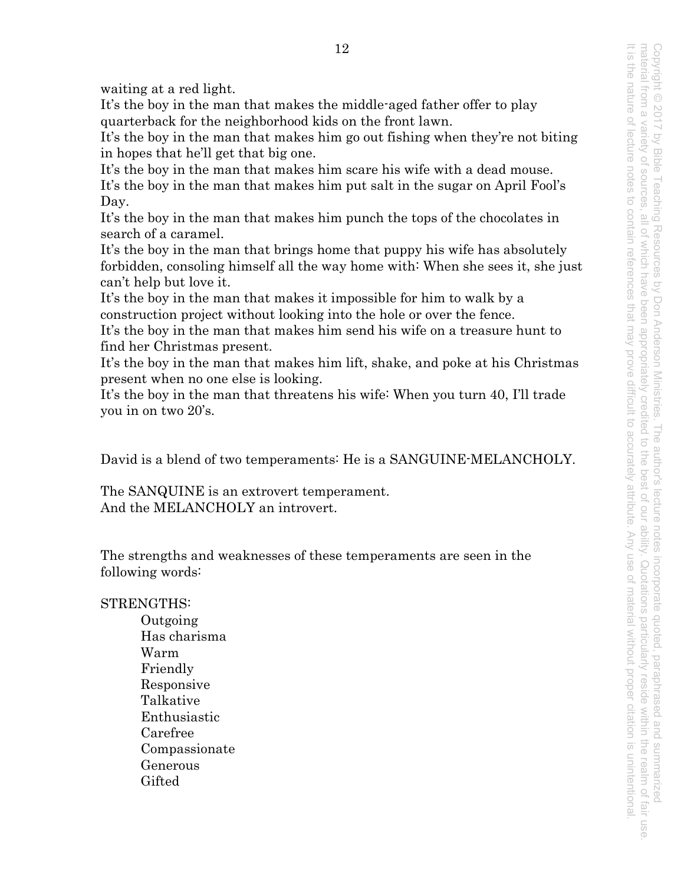waiting at a red light.

It's the boy in the man that makes the middle-aged father offer to play quarterback for the neighborhood kids on the front lawn.

It's the boy in the man that makes him go out fishing when they're not biting in hopes that he'll get that big one.

It's the boy in the man that makes him scare his wife with a dead mouse. It's the boy in the man that makes him put salt in the sugar on April Fool's Day.

It's the boy in the man that makes him punch the tops of the chocolates in search of a caramel.

It's the boy in the man that brings home that puppy his wife has absolutely forbidden, consoling himself all the way home with: When she sees it, she just can't help but love it.

It's the boy in the man that makes it impossible for him to walk by a construction project without looking into the hole or over the fence.

It's the boy in the man that makes him send his wife on a treasure hunt to find her Christmas present.

It's the boy in the man that makes him lift, shake, and poke at his Christmas present when no one else is looking.

It's the boy in the man that threatens his wife: When you turn 40, I'll trade you in on two 20's.

David is a blend of two temperaments: He is a SANGUINE-MELANCHOLY.

The SANQUINE is an extrovert temperament. And the MELANCHOLY an introvert.

The strengths and weaknesses of these temperaments are seen in the following words:

STRENGTHS:

Outgoing Has charisma Warm Friendly Responsive Talkative Enthusiastic Carefree Compassionate Generous Gifted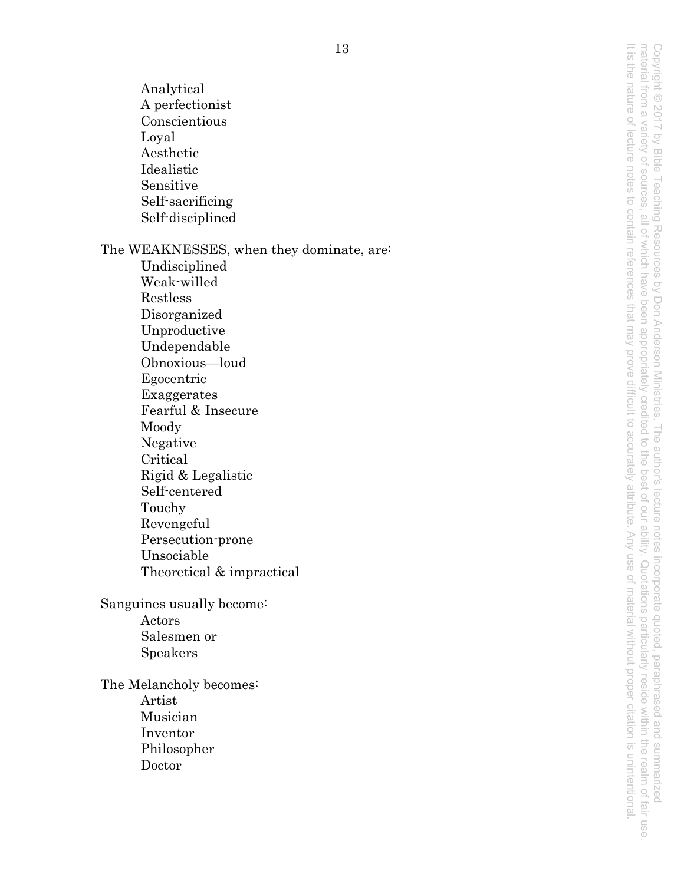It is the nature of lecture notes to contain references that may prove difficult to accurately attribute Copyright © 2017 by Bible Teaching Resources by Don Anderson Ministries. The author's lecture notes incorporate quoted, paraphrased and summarized<br>material from a variety of sources, all of which have been appropriately cr material from a variety of sources, all of the which have been appropriately credited to the best of courses, all of the interval of the set of the set of the been abdeniately reside with reside with reside within the real Copyright © 2017 by Bible Teaching Resources by Don Anderson Ministries. The author's lecture notes incorporate quoted, paraphrased and summarized It is the nature of lecture notes to contain references that may prove difficult to accurately attribute. Any use of material without proper citation is unintentional.Any use of material without proper citation is unintentional . Quotations particularly reside within the realm of fair use

Analytical A perfectionist Conscientious Loyal Aesthetic Idealistic Sensitive Self-sacrificing Self-disciplined The WEAKNESSES, when they dominate, are: Undisciplined Weak-willed Restless Disorganized Unproductive Undependable Obnoxious—loud Egocentric Exaggerates Fearful & Insecure Moody Negative Critical Rigid & Legalistic Self-centered Touchy Revengeful Persecution-prone Unsociable Theoretical & impractical Sanguines usually become: Actors Salesmen or Speakers

The Melancholy becomes: Artist Musician Inventor Philosopher Doctor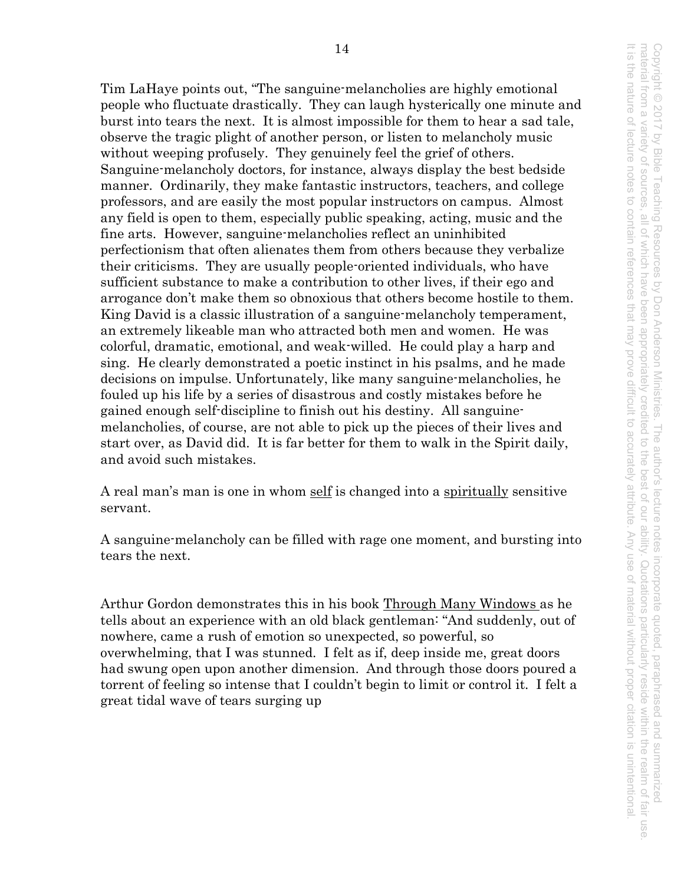It is the nature of lecture notes to contain references that may prove difficult to accurately attribute. material from a variety of sources, all of which have been appropriately credited to the best of our ability. Quotations particularly reside within the realm of fair use material from a variety of sources, all of the which have been appropriately credited to the best of courses, all of the interval of the set of the set of the been abdeniately reside with reside with reside within the real Copyright © 2017 by Bible Teaching Resources by Don Anderson Ministries. The author's lecture notes incorporate quoted, paraphrased and summarized Copyright © 2017 by Bible Teaching Resources by Don Anderson Ministries. The author's lecture notes incorporate quoted, paraphrased and summarized It is the nature of lecture notes to contain references that may prove difficult to accurately attribute. Any use of material without proper citation is unintentional.Any use of material without proper citation is unintentional

Tim LaHaye points out, "The sanguine-melancholies are highly emotional people who fluctuate drastically. They can laugh hysterically one minute and burst into tears the next. It is almost impossible for them to hear a sad tale, observe the tragic plight of another person, or listen to melancholy music without weeping profusely. They genuinely feel the grief of others. Sanguine-melancholy doctors, for instance, always display the best bedside manner. Ordinarily, they make fantastic instructors, teachers, and college professors, and are easily the most popular instructors on campus. Almost any field is open to them, especially public speaking, acting, music and the fine arts. However, sanguine-melancholies reflect an uninhibited perfectionism that often alienates them from others because they verbalize their criticisms. They are usually people-oriented individuals, who have sufficient substance to make a contribution to other lives, if their ego and arrogance don't make them so obnoxious that others become hostile to them. King David is a classic illustration of a sanguine-melancholy temperament, an extremely likeable man who attracted both men and women. He was colorful, dramatic, emotional, and weak-willed. He could play a harp and sing. He clearly demonstrated a poetic instinct in his psalms, and he made decisions on impulse. Unfortunately, like many sanguine-melancholies, he fouled up his life by a series of disastrous and costly mistakes before he gained enough self-discipline to finish out his destiny. All sanguinemelancholies, of course, are not able to pick up the pieces of their lives and start over, as David did. It is far better for them to walk in the Spirit daily, and avoid such mistakes.

A real man's man is one in whom self is changed into a spiritually sensitive servant.

A sanguine-melancholy can be filled with rage one moment, and bursting into tears the next.

Arthur Gordon demonstrates this in his book Through Many Windows as he tells about an experience with an old black gentleman: "And suddenly, out of nowhere, came a rush of emotion so unexpected, so powerful, so overwhelming, that I was stunned. I felt as if, deep inside me, great doors had swung open upon another dimension. And through those doors poured a torrent of feeling so intense that I couldn't begin to limit or control it. I felt a great tidal wave of tears surging up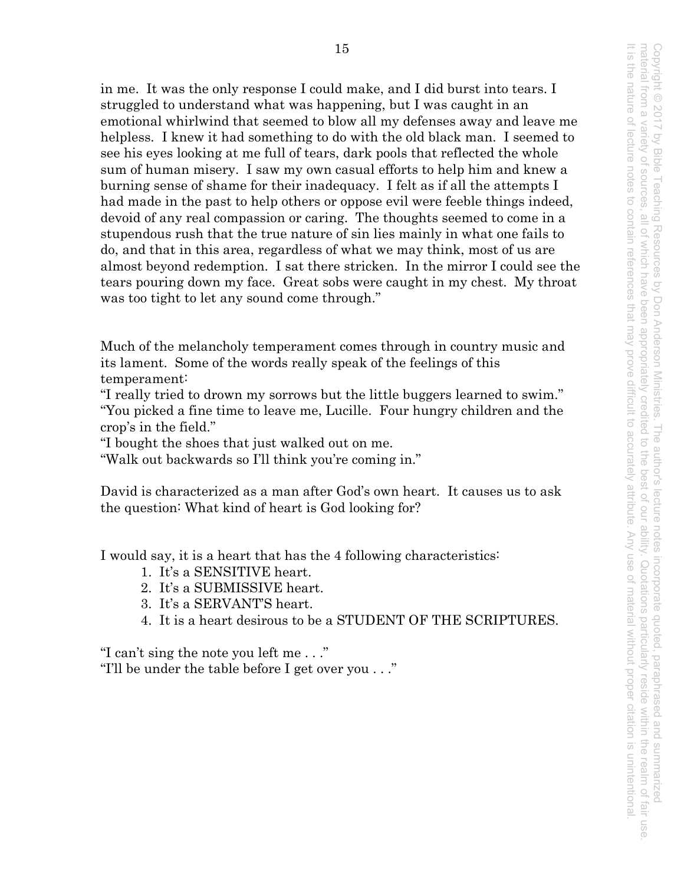in me. It was the only response I could make, and I did burst into tears. I struggled to understand what was happening, but I was caught in an emotional whirlwind that seemed to blow all my defenses away and leave me helpless. I knew it had something to do with the old black man. I seemed to see his eyes looking at me full of tears, dark pools that reflected the whole sum of human misery. I saw my own casual efforts to help him and knew a burning sense of shame for their inadequacy. I felt as if all the attempts I had made in the past to help others or oppose evil were feeble things indeed, devoid of any real compassion or caring. The thoughts seemed to come in a stupendous rush that the true nature of sin lies mainly in what one fails to do, and that in this area, regardless of what we may think, most of us are almost beyond redemption. I sat there stricken. In the mirror I could see the tears pouring down my face. Great sobs were caught in my chest. My throat was too tight to let any sound come through."

Much of the melancholy temperament comes through in country music and its lament. Some of the words really speak of the feelings of this temperament:

"I really tried to drown my sorrows but the little buggers learned to swim." "You picked a fine time to leave me, Lucille. Four hungry children and the crop's in the field."

"I bought the shoes that just walked out on me.

"Walk out backwards so I'll think you're coming in."

David is characterized as a man after God's own heart. It causes us to ask the question: What kind of heart is God looking for?

I would say, it is a heart that has the 4 following characteristics:

- 1. It's a SENSITIVE heart.
- 2. It's a SUBMISSIVE heart.
- 3. It's a SERVANT'S heart.
- 4. It is a heart desirous to be a STUDENT OF THE SCRIPTURES.

"I can't sing the note you left me . . ."

"I'll be under the table before I get over you . . ."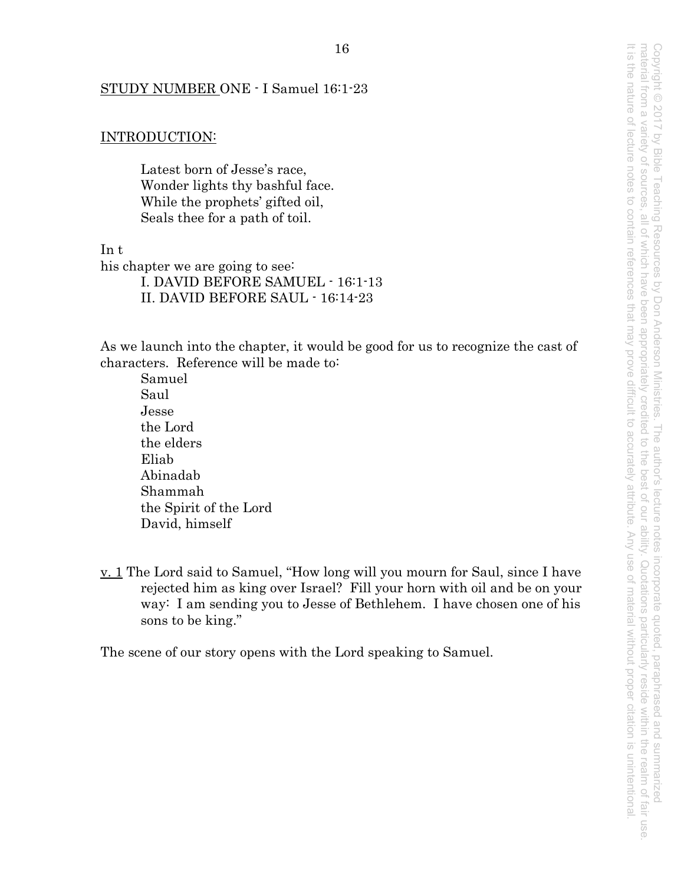## STUDY NUMBER ONE - I Samuel 16:1-23

## INTRODUCTION:

Latest born of Jesse's race, Wonder lights thy bashful face. While the prophets' gifted oil, Seals thee for a path of toil.

In t

his chapter we are going to see: I. DAVID BEFORE SAMUEL - 16:1-13 II. DAVID BEFORE SAUL - 16:14-23

As we launch into the chapter, it would be good for us to recognize the cast of characters. Reference will be made to:

Samuel Saul Jesse the Lord the elders Eliab Abinadab Shammah the Spirit of the Lord David, himself

v. 1 The Lord said to Samuel, "How long will you mourn for Saul, since I have rejected him as king over Israel? Fill your horn with oil and be on your way: I am sending you to Jesse of Bethlehem. I have chosen one of his sons to be king."

The scene of our story opens with the Lord speaking to Samuel.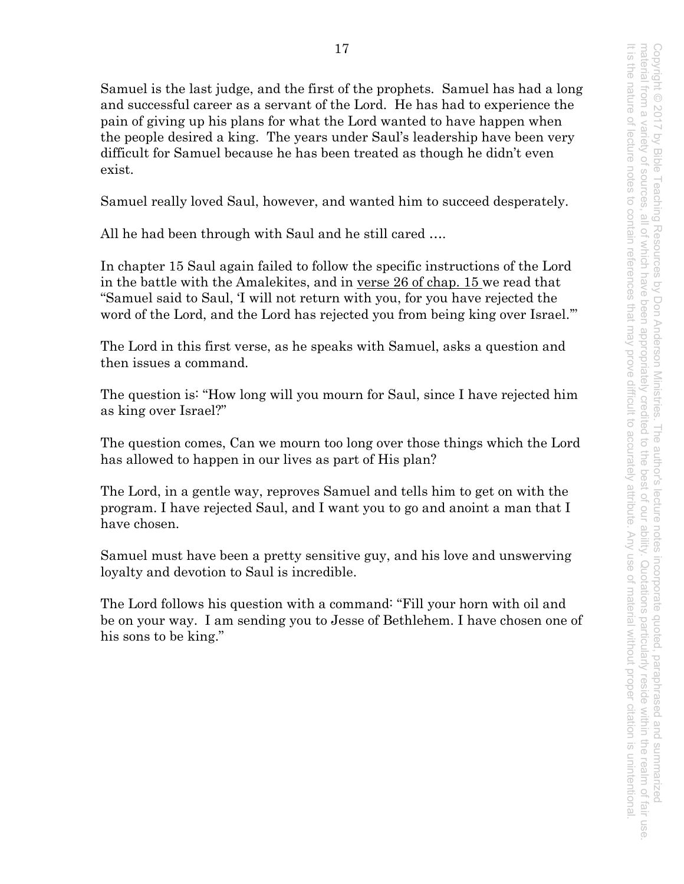Samuel is the last judge, and the first of the prophets. Samuel has had a long and successful career as a servant of the Lord. He has had to experience the pain of giving up his plans for what the Lord wanted to have happen when the people desired a king. The years under Saul's leadership have been very difficult for Samuel because he has been treated as though he didn't even exist.

Samuel really loved Saul, however, and wanted him to succeed desperately.

All he had been through with Saul and he still cared ….

In chapter 15 Saul again failed to follow the specific instructions of the Lord in the battle with the Amalekites, and in verse 26 of chap. 15 we read that "Samuel said to Saul, 'I will not return with you, for you have rejected the word of the Lord, and the Lord has rejected you from being king over Israel.'"

The Lord in this first verse, as he speaks with Samuel, asks a question and then issues a command.

The question is: "How long will you mourn for Saul, since I have rejected him as king over Israel?"

The question comes, Can we mourn too long over those things which the Lord has allowed to happen in our lives as part of His plan?

The Lord, in a gentle way, reproves Samuel and tells him to get on with the program. I have rejected Saul, and I want you to go and anoint a man that I have chosen.

Samuel must have been a pretty sensitive guy, and his love and unswerving loyalty and devotion to Saul is incredible.

The Lord follows his question with a command: "Fill your horn with oil and be on your way. I am sending you to Jesse of Bethlehem. I have chosen one of his sons to be king."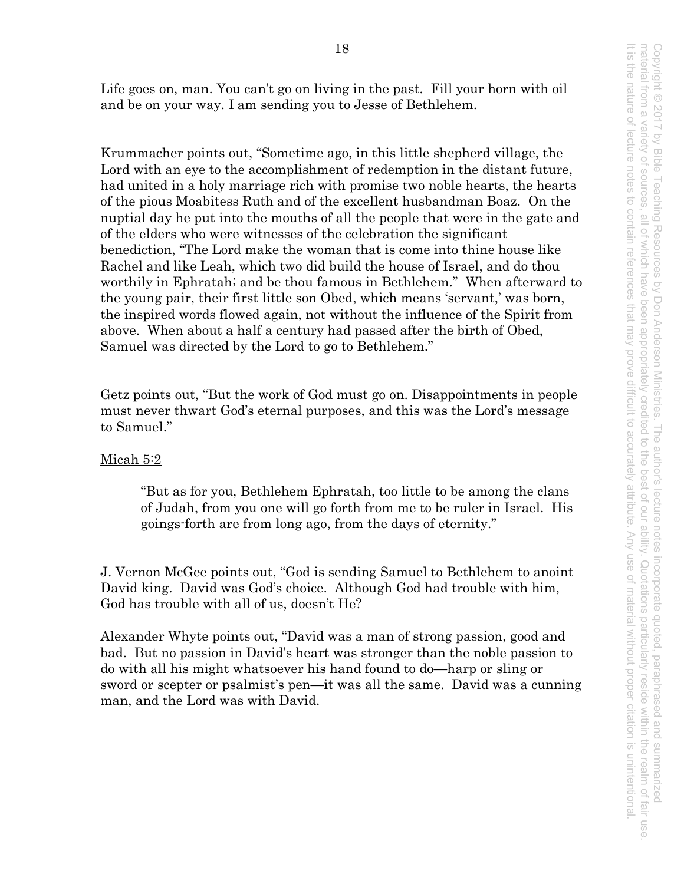Life goes on, man. You can't go on living in the past. Fill your horn with oil and be on your way. I am sending you to Jesse of Bethlehem.

Krummacher points out, "Sometime ago, in this little shepherd village, the Lord with an eye to the accomplishment of redemption in the distant future, had united in a holy marriage rich with promise two noble hearts, the hearts of the pious Moabitess Ruth and of the excellent husbandman Boaz. On the nuptial day he put into the mouths of all the people that were in the gate and of the elders who were witnesses of the celebration the significant benediction, "The Lord make the woman that is come into thine house like Rachel and like Leah, which two did build the house of Israel, and do thou worthily in Ephratah; and be thou famous in Bethlehem." When afterward to the young pair, their first little son Obed, which means 'servant,' was born, the inspired words flowed again, not without the influence of the Spirit from above. When about a half a century had passed after the birth of Obed, Samuel was directed by the Lord to go to Bethlehem."

Getz points out, "But the work of God must go on. Disappointments in people must never thwart God's eternal purposes, and this was the Lord's message to Samuel."

## Micah 5:2

"But as for you, Bethlehem Ephratah, too little to be among the clans of Judah, from you one will go forth from me to be ruler in Israel. His goings-forth are from long ago, from the days of eternity."

J. Vernon McGee points out, "God is sending Samuel to Bethlehem to anoint David king. David was God's choice. Although God had trouble with him, God has trouble with all of us, doesn't He?

Alexander Whyte points out, "David was a man of strong passion, good and bad. But no passion in David's heart was stronger than the noble passion to do with all his might whatsoever his hand found to do—harp or sling or sword or scepter or psalmist's pen—it was all the same. David was a cunning man, and the Lord was with David.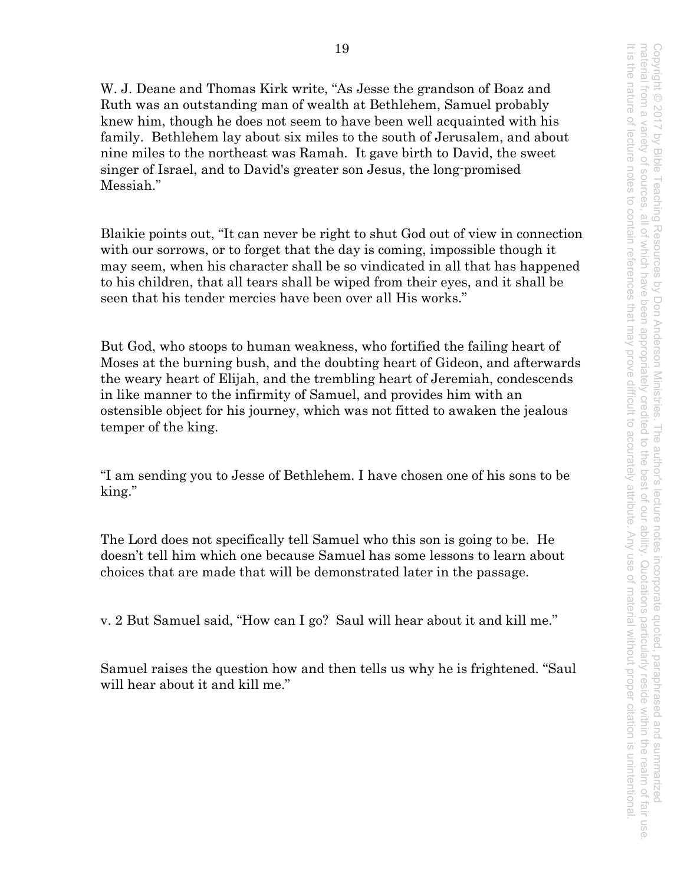W. J. Deane and Thomas Kirk write, "As Jesse the grandson of Boaz and Ruth was an outstanding man of wealth at Bethlehem, Samuel probably knew him, though he does not seem to have been well acquainted with his family. Bethlehem lay about six miles to the south of Jerusalem, and about nine miles to the northeast was Ramah. It gave birth to David, the sweet singer of Israel, and to David's greater son Jesus, the long-promised Messiah."

Blaikie points out, "It can never be right to shut God out of view in connection with our sorrows, or to forget that the day is coming, impossible though it may seem, when his character shall be so vindicated in all that has happened to his children, that all tears shall be wiped from their eyes, and it shall be seen that his tender mercies have been over all His works."

But God, who stoops to human weakness, who fortified the failing heart of Moses at the burning bush, and the doubting heart of Gideon, and afterwards the weary heart of Elijah, and the trembling heart of Jeremiah, condescends in like manner to the infirmity of Samuel, and provides him with an ostensible object for his journey, which was not fitted to awaken the jealous temper of the king.

"I am sending you to Jesse of Bethlehem. I have chosen one of his sons to be king."

The Lord does not specifically tell Samuel who this son is going to be. He doesn't tell him which one because Samuel has some lessons to learn about choices that are made that will be demonstrated later in the passage.

v. 2 But Samuel said, "How can I go? Saul will hear about it and kill me."

Samuel raises the question how and then tells us why he is frightened. "Saul will hear about it and kill me."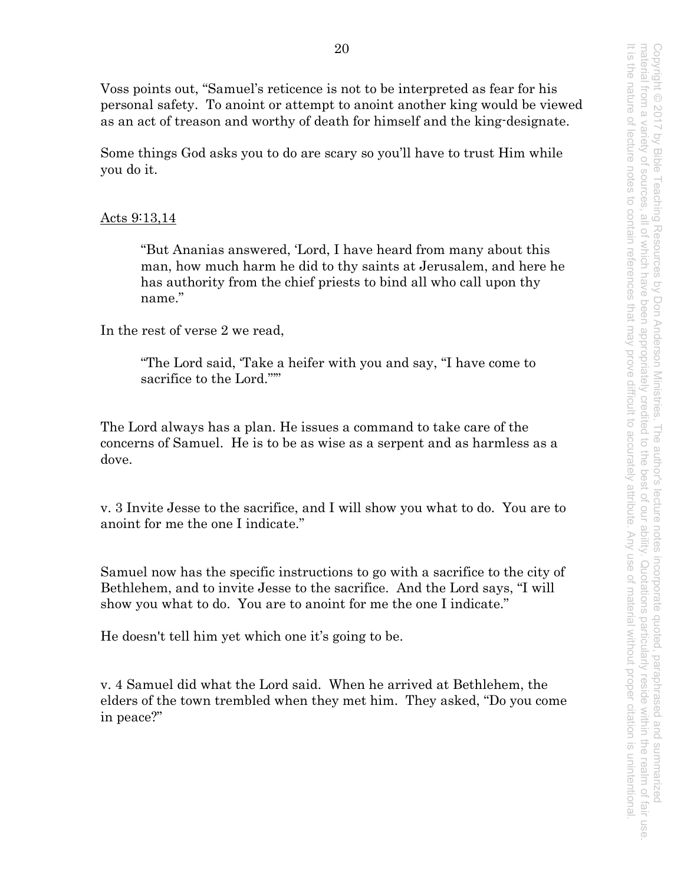Voss points out, "Samuel's reticence is not to be interpreted as fear for his personal safety. To anoint or attempt to anoint another king would be viewed as an act of treason and worthy of death for himself and the king-designate.

Some things God asks you to do are scary so you'll have to trust Him while you do it.

## Acts 9:13,14

"But Ananias answered, 'Lord, I have heard from many about this man, how much harm he did to thy saints at Jerusalem, and here he has authority from the chief priests to bind all who call upon thy name."

In the rest of verse 2 we read,

"The Lord said, 'Take a heifer with you and say, "I have come to sacrifice to the Lord.""

The Lord always has a plan. He issues a command to take care of the concerns of Samuel. He is to be as wise as a serpent and as harmless as a dove.

v. 3 Invite Jesse to the sacrifice, and I will show you what to do. You are to anoint for me the one I indicate."

Samuel now has the specific instructions to go with a sacrifice to the city of Bethlehem, and to invite Jesse to the sacrifice. And the Lord says, "I will show you what to do. You are to anoint for me the one I indicate."

He doesn't tell him yet which one it's going to be.

v. 4 Samuel did what the Lord said. When he arrived at Bethlehem, the elders of the town trembled when they met him. They asked, "Do you come in peace?"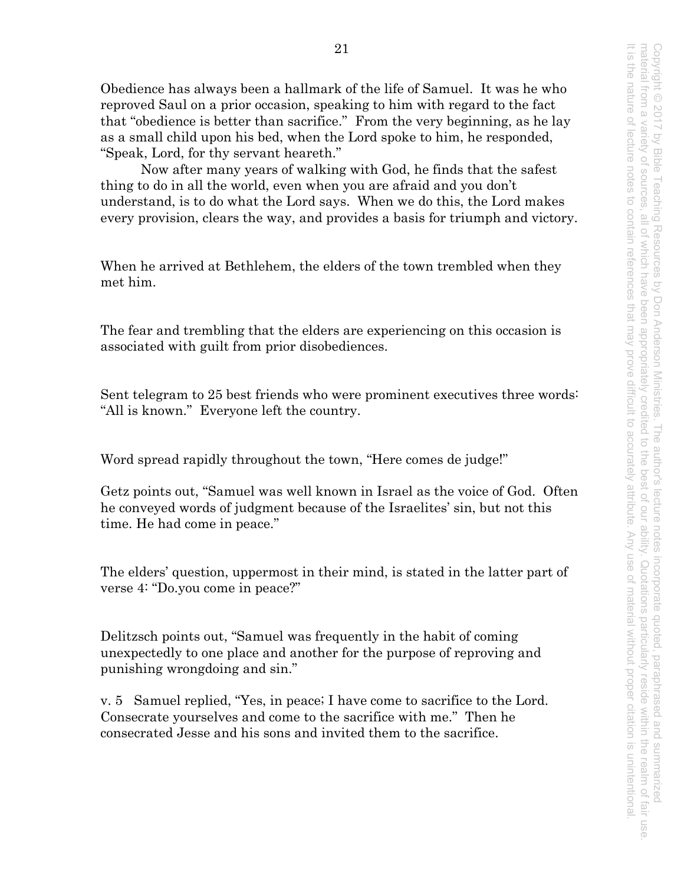Obedience has always been a hallmark of the life of Samuel. It was he who reproved Saul on a prior occasion, speaking to him with regard to the fact that "obedience is better than sacrifice." From the very beginning, as he lay as a small child upon his bed, when the Lord spoke to him, he responded, "Speak, Lord, for thy servant heareth."

Now after many years of walking with God, he finds that the safest thing to do in all the world, even when you are afraid and you don't understand, is to do what the Lord says. When we do this, the Lord makes every provision, clears the way, and provides a basis for triumph and victory.

When he arrived at Bethlehem, the elders of the town trembled when they met him.

The fear and trembling that the elders are experiencing on this occasion is associated with guilt from prior disobediences.

Sent telegram to 25 best friends who were prominent executives three words: "All is known." Everyone left the country.

Word spread rapidly throughout the town, "Here comes de judge!"

Getz points out, "Samuel was well known in Israel as the voice of God. Often he conveyed words of judgment because of the Israelites' sin, but not this time. He had come in peace."

The elders' question, uppermost in their mind, is stated in the latter part of verse 4: "Do.you come in peace?"

Delitzsch points out, "Samuel was frequently in the habit of coming unexpectedly to one place and another for the purpose of reproving and punishing wrongdoing and sin."

v. 5 Samuel replied, "Yes, in peace; I have come to sacrifice to the Lord. Consecrate yourselves and come to the sacrifice with me." Then he consecrated Jesse and his sons and invited them to the sacrifice.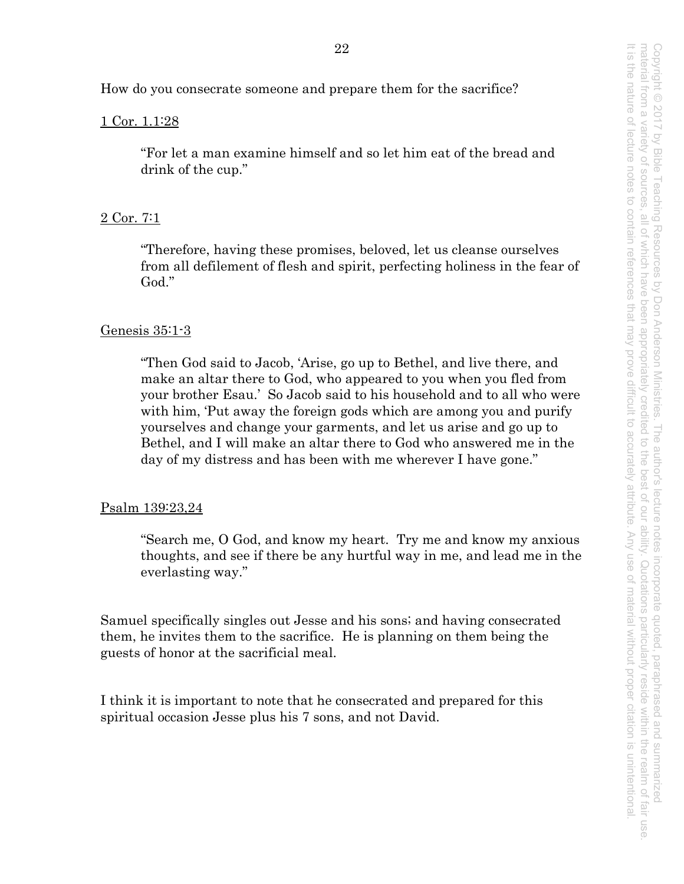22

How do you consecrate someone and prepare them for the sacrifice?

#### 1 Cor. 1.1:28

"For let a man examine himself and so let him eat of the bread and drink of the cup."

### 2 Cor. 7:1

"Therefore, having these promises, beloved, let us cleanse ourselves from all defilement of flesh and spirit, perfecting holiness in the fear of God."

### Genesis 35:1-3

"Then God said to Jacob, 'Arise, go up to Bethel, and live there, and make an altar there to God, who appeared to you when you fled from your brother Esau.' So Jacob said to his household and to all who were with him, 'Put away the foreign gods which are among you and purify yourselves and change your garments, and let us arise and go up to Bethel, and I will make an altar there to God who answered me in the day of my distress and has been with me wherever I have gone."

#### Psalm 139:23,24

"Search me, O God, and know my heart. Try me and know my anxious thoughts, and see if there be any hurtful way in me, and lead me in the everlasting way."

Samuel specifically singles out Jesse and his sons; and having consecrated them, he invites them to the sacrifice. He is planning on them being the guests of honor at the sacrificial meal.

I think it is important to note that he consecrated and prepared for this spiritual occasion Jesse plus his 7 sons, and not David.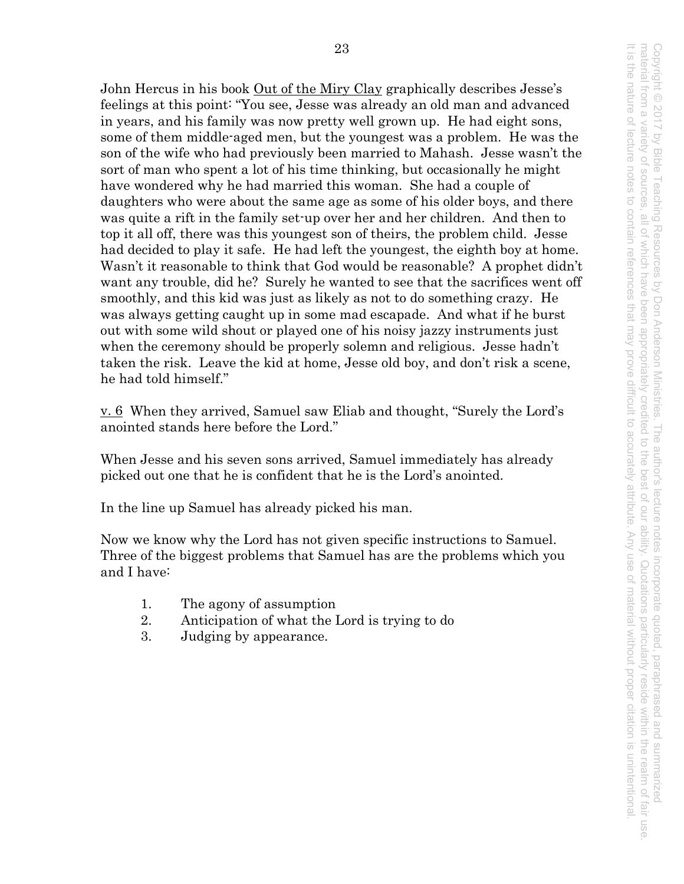John Hercus in his book Out of the Miry Clay graphically describes Jesse's feelings at this point: "You see, Jesse was already an old man and advanced in years, and his family was now pretty well grown up. He had eight sons, some of them middle-aged men, but the youngest was a problem. He was the son of the wife who had previously been married to Mahash. Jesse wasn't the sort of man who spent a lot of his time thinking, but occasionally he might have wondered why he had married this woman. She had a couple of daughters who were about the same age as some of his older boys, and there was quite a rift in the family set-up over her and her children. And then to top it all off, there was this youngest son of theirs, the problem child. Jesse had decided to play it safe. He had left the youngest, the eighth boy at home. Wasn't it reasonable to think that God would be reasonable? A prophet didn't want any trouble, did he? Surely he wanted to see that the sacrifices went off smoothly, and this kid was just as likely as not to do something crazy. He was always getting caught up in some mad escapade. And what if he burst out with some wild shout or played one of his noisy jazzy instruments just when the ceremony should be properly solemn and religious. Jesse hadn't taken the risk. Leave the kid at home, Jesse old boy, and don't risk a scene, he had told himself."

v. 6 When they arrived, Samuel saw Eliab and thought, "Surely the Lord's anointed stands here before the Lord."

When Jesse and his seven sons arrived, Samuel immediately has already picked out one that he is confident that he is the Lord's anointed.

In the line up Samuel has already picked his man.

Now we know why the Lord has not given specific instructions to Samuel. Three of the biggest problems that Samuel has are the problems which you and I have:

- 1. The agony of assumption
- 2. Anticipation of what the Lord is trying to do
- 3. Judging by appearance.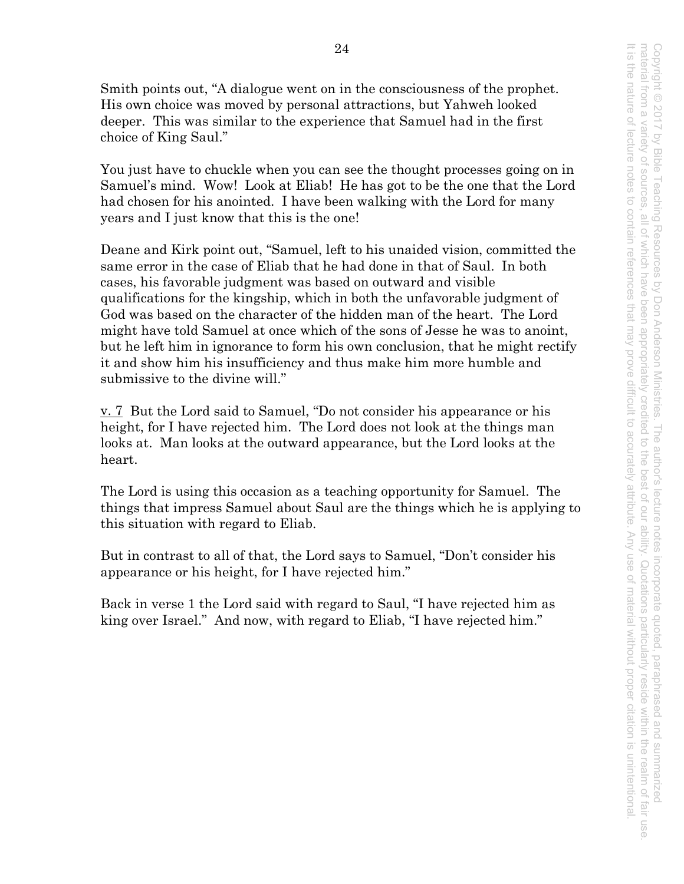Smith points out, "A dialogue went on in the consciousness of the prophet. His own choice was moved by personal attractions, but Yahweh looked deeper. This was similar to the experience that Samuel had in the first choice of King Saul."

You just have to chuckle when you can see the thought processes going on in Samuel's mind. Wow! Look at Eliab! He has got to be the one that the Lord had chosen for his anointed. I have been walking with the Lord for many years and I just know that this is the one!

Deane and Kirk point out, "Samuel, left to his unaided vision, committed the same error in the case of Eliab that he had done in that of Saul. In both cases, his favorable judgment was based on outward and visible qualifications for the kingship, which in both the unfavorable judgment of God was based on the character of the hidden man of the heart. The Lord might have told Samuel at once which of the sons of Jesse he was to anoint, but he left him in ignorance to form his own conclusion, that he might rectify it and show him his insufficiency and thus make him more humble and submissive to the divine will."

v. 7 But the Lord said to Samuel, "Do not consider his appearance or his height, for I have rejected him. The Lord does not look at the things man looks at. Man looks at the outward appearance, but the Lord looks at the heart.

The Lord is using this occasion as a teaching opportunity for Samuel. The things that impress Samuel about Saul are the things which he is applying to this situation with regard to Eliab.

But in contrast to all of that, the Lord says to Samuel, "Don't consider his appearance or his height, for I have rejected him."

Back in verse 1 the Lord said with regard to Saul, "I have rejected him as king over Israel." And now, with regard to Eliab, "I have rejected him."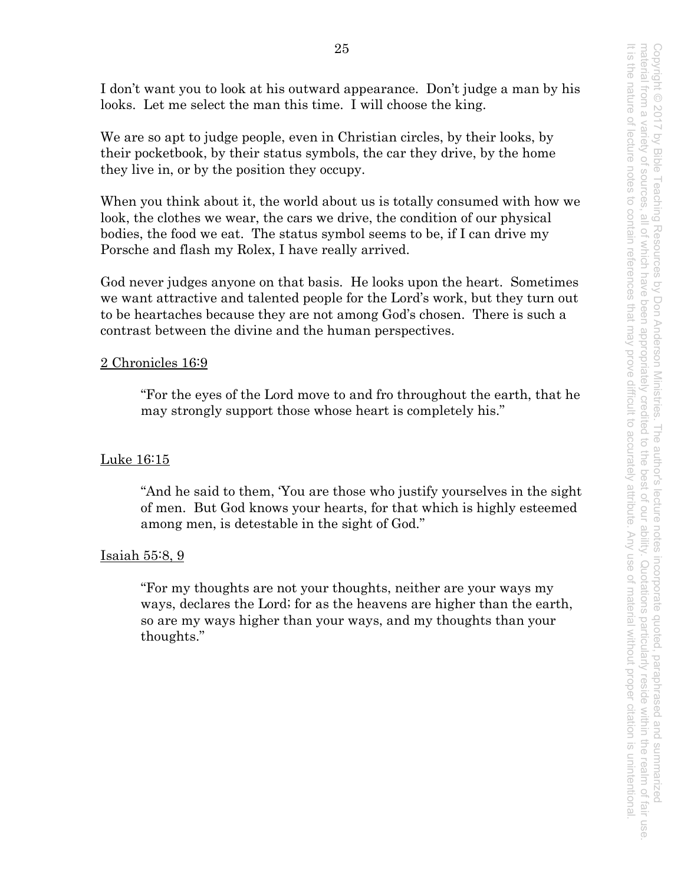I don't want you to look at his outward appearance. Don't judge a man by his looks. Let me select the man this time. I will choose the king.

We are so apt to judge people, even in Christian circles, by their looks, by their pocketbook, by their status symbols, the car they drive, by the home they live in, or by the position they occupy.

When you think about it, the world about us is totally consumed with how we look, the clothes we wear, the cars we drive, the condition of our physical bodies, the food we eat. The status symbol seems to be, if I can drive my Porsche and flash my Rolex, I have really arrived.

God never judges anyone on that basis. He looks upon the heart. Sometimes we want attractive and talented people for the Lord's work, but they turn out to be heartaches because they are not among God's chosen. There is such a contrast between the divine and the human perspectives.

## 2 Chronicles 16:9

"For the eyes of the Lord move to and fro throughout the earth, that he may strongly support those whose heart is completely his."

# Luke 16:15

"And he said to them, 'You are those who justify yourselves in the sight of men. But God knows your hearts, for that which is highly esteemed among men, is detestable in the sight of God."

## Isaiah 55:8, 9

"For my thoughts are not your thoughts, neither are your ways my ways, declares the Lord; for as the heavens are higher than the earth, so are my ways higher than your ways, and my thoughts than your thoughts."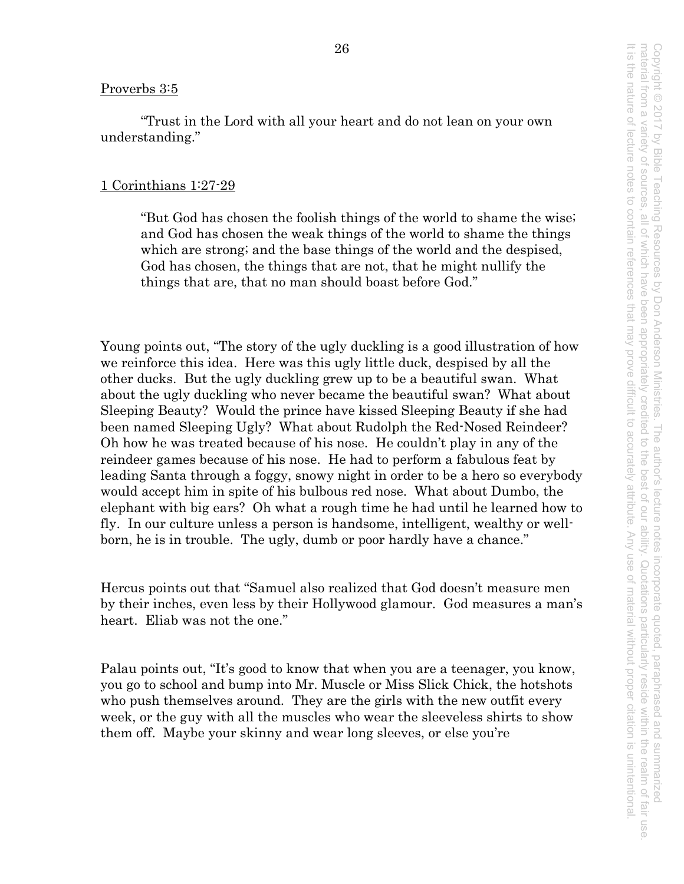#### Proverbs 3:5

"Trust in the Lord with all your heart and do not lean on your own understanding."

## 1 Corinthians 1:27-29

"But God has chosen the foolish things of the world to shame the wise; and God has chosen the weak things of the world to shame the things which are strong; and the base things of the world and the despised, God has chosen, the things that are not, that he might nullify the things that are, that no man should boast before God."

Young points out, "The story of the ugly duckling is a good illustration of how we reinforce this idea. Here was this ugly little duck, despised by all the other ducks. But the ugly duckling grew up to be a beautiful swan. What about the ugly duckling who never became the beautiful swan? What about Sleeping Beauty? Would the prince have kissed Sleeping Beauty if she had been named Sleeping Ugly? What about Rudolph the Red-Nosed Reindeer? Oh how he was treated because of his nose. He couldn't play in any of the reindeer games because of his nose. He had to perform a fabulous feat by leading Santa through a foggy, snowy night in order to be a hero so everybody would accept him in spite of his bulbous red nose. What about Dumbo, the elephant with big ears? Oh what a rough time he had until he learned how to fly. In our culture unless a person is handsome, intelligent, wealthy or wellborn, he is in trouble. The ugly, dumb or poor hardly have a chance."

Hercus points out that "Samuel also realized that God doesn't measure men by their inches, even less by their Hollywood glamour. God measures a man's heart. Eliab was not the one."

Palau points out, "It's good to know that when you are a teenager, you know, you go to school and bump into Mr. Muscle or Miss Slick Chick, the hotshots who push themselves around. They are the girls with the new outfit every week, or the guy with all the muscles who wear the sleeveless shirts to show them off. Maybe your skinny and wear long sleeves, or else you're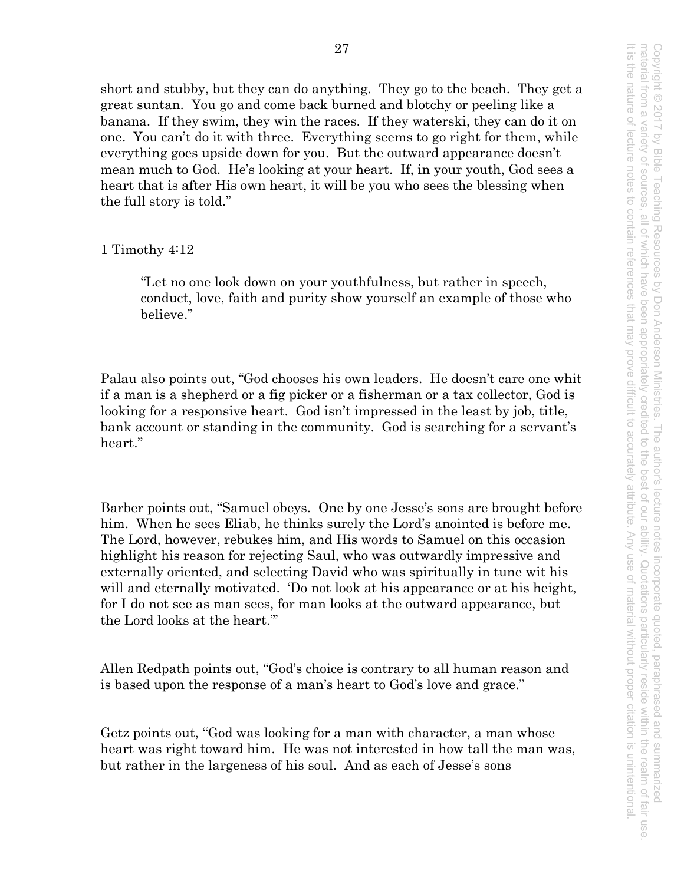short and stubby, but they can do anything. They go to the beach. They get a great suntan. You go and come back burned and blotchy or peeling like a banana. If they swim, they win the races. If they waterski, they can do it on one. You can't do it with three. Everything seems to go right for them, while everything goes upside down for you. But the outward appearance doesn't mean much to God. He's looking at your heart. If, in your youth, God sees a heart that is after His own heart, it will be you who sees the blessing when the full story is told."

### 1 Timothy 4:12

"Let no one look down on your youthfulness, but rather in speech, conduct, love, faith and purity show yourself an example of those who believe."

Palau also points out, "God chooses his own leaders. He doesn't care one whit if a man is a shepherd or a fig picker or a fisherman or a tax collector, God is looking for a responsive heart. God isn't impressed in the least by job, title, bank account or standing in the community. God is searching for a servant's heart."

Barber points out, "Samuel obeys. One by one Jesse's sons are brought before him. When he sees Eliab, he thinks surely the Lord's anointed is before me. The Lord, however, rebukes him, and His words to Samuel on this occasion highlight his reason for rejecting Saul, who was outwardly impressive and externally oriented, and selecting David who was spiritually in tune wit his will and eternally motivated. 'Do not look at his appearance or at his height, for I do not see as man sees, for man looks at the outward appearance, but the Lord looks at the heart.'"

Allen Redpath points out, "God's choice is contrary to all human reason and is based upon the response of a man's heart to God's love and grace."

Getz points out, "God was looking for a man with character, a man whose heart was right toward him. He was not interested in how tall the man was, but rather in the largeness of his soul. And as each of Jesse's sons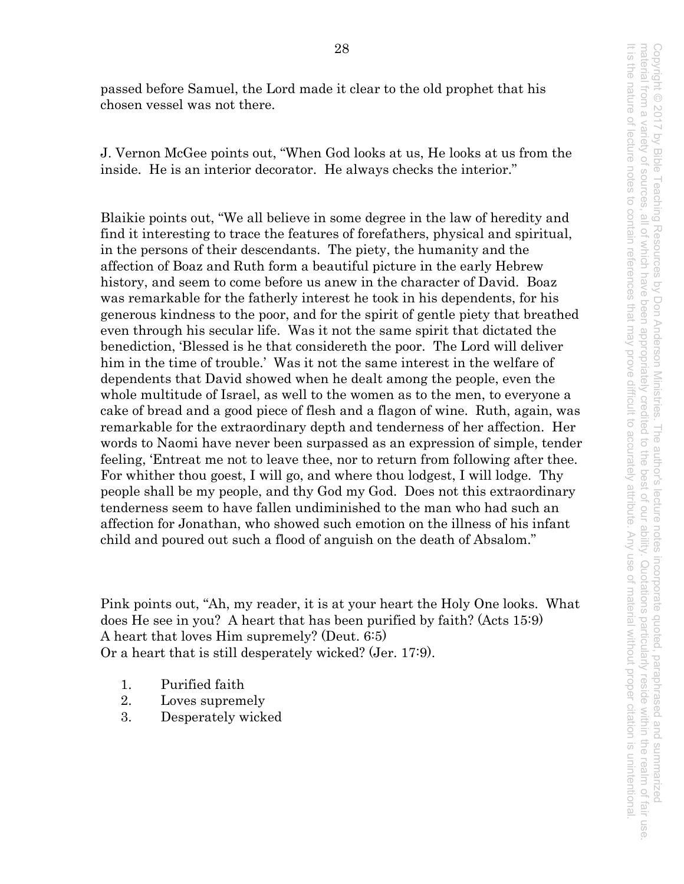28

passed before Samuel, the Lord made it clear to the old prophet that his chosen vessel was not there.

J. Vernon McGee points out, "When God looks at us, He looks at us from the inside. He is an interior decorator. He always checks the interior."

Blaikie points out, "We all believe in some degree in the law of heredity and find it interesting to trace the features of forefathers, physical and spiritual, in the persons of their descendants. The piety, the humanity and the affection of Boaz and Ruth form a beautiful picture in the early Hebrew history, and seem to come before us anew in the character of David. Boaz was remarkable for the fatherly interest he took in his dependents, for his generous kindness to the poor, and for the spirit of gentle piety that breathed even through his secular life. Was it not the same spirit that dictated the benediction, 'Blessed is he that considereth the poor. The Lord will deliver him in the time of trouble.' Was it not the same interest in the welfare of dependents that David showed when he dealt among the people, even the whole multitude of Israel, as well to the women as to the men, to everyone a cake of bread and a good piece of flesh and a flagon of wine. Ruth, again, was remarkable for the extraordinary depth and tenderness of her affection. Her words to Naomi have never been surpassed as an expression of simple, tender feeling, 'Entreat me not to leave thee, nor to return from following after thee. For whither thou goest, I will go, and where thou lodgest, I will lodge. Thy people shall be my people, and thy God my God. Does not this extraordinary tenderness seem to have fallen undiminished to the man who had such an affection for Jonathan, who showed such emotion on the illness of his infant child and poured out such a flood of anguish on the death of Absalom."

Pink points out, "Ah, my reader, it is at your heart the Holy One looks. What does He see in you? A heart that has been purified by faith? (Acts 15:9) A heart that loves Him supremely? (Deut. 6:5) Or a heart that is still desperately wicked? (Jer. 17:9).

- 1. Purified faith
- 2. Loves supremely
- 3. Desperately wicked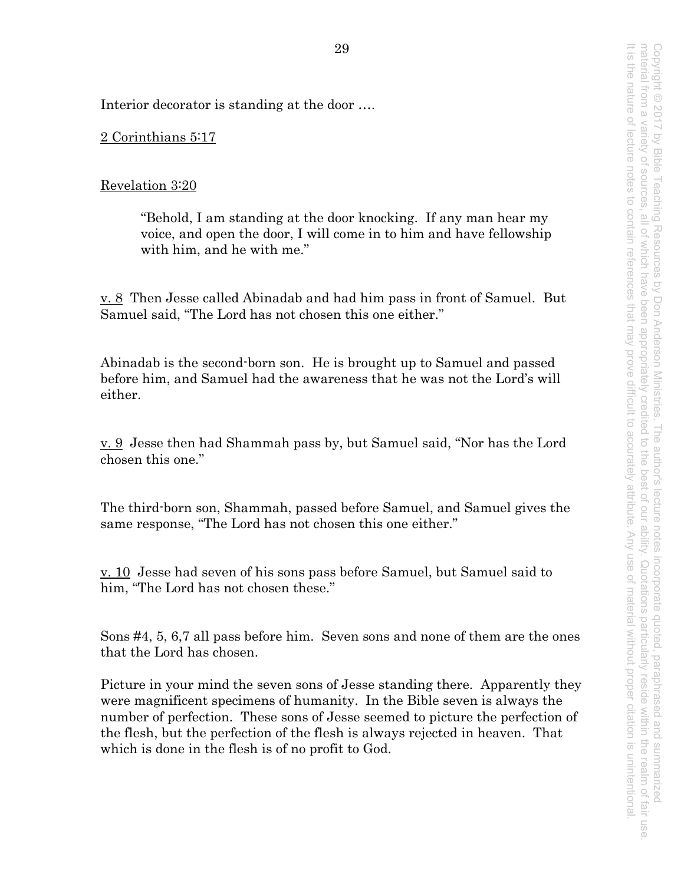Interior decorator is standing at the door ….

2 Corinthians 5:17

## Revelation 3:20

"Behold, I am standing at the door knocking. If any man hear my voice, and open the door, I will come in to him and have fellowship with him, and he with me."

v. 8 Then Jesse called Abinadab and had him pass in front of Samuel. But Samuel said, "The Lord has not chosen this one either."

Abinadab is the second-born son. He is brought up to Samuel and passed before him, and Samuel had the awareness that he was not the Lord's will either.

v. 9 Jesse then had Shammah pass by, but Samuel said, "Nor has the Lord chosen this one."

The third-born son, Shammah, passed before Samuel, and Samuel gives the same response, "The Lord has not chosen this one either."

v. 10 Jesse had seven of his sons pass before Samuel, but Samuel said to him, "The Lord has not chosen these."

Sons #4, 5, 6,7 all pass before him. Seven sons and none of them are the ones that the Lord has chosen.

Picture in your mind the seven sons of Jesse standing there. Apparently they were magnificent specimens of humanity. In the Bible seven is always the number of perfection. These sons of Jesse seemed to picture the perfection of the flesh, but the perfection of the flesh is always rejected in heaven. That which is done in the flesh is of no profit to God.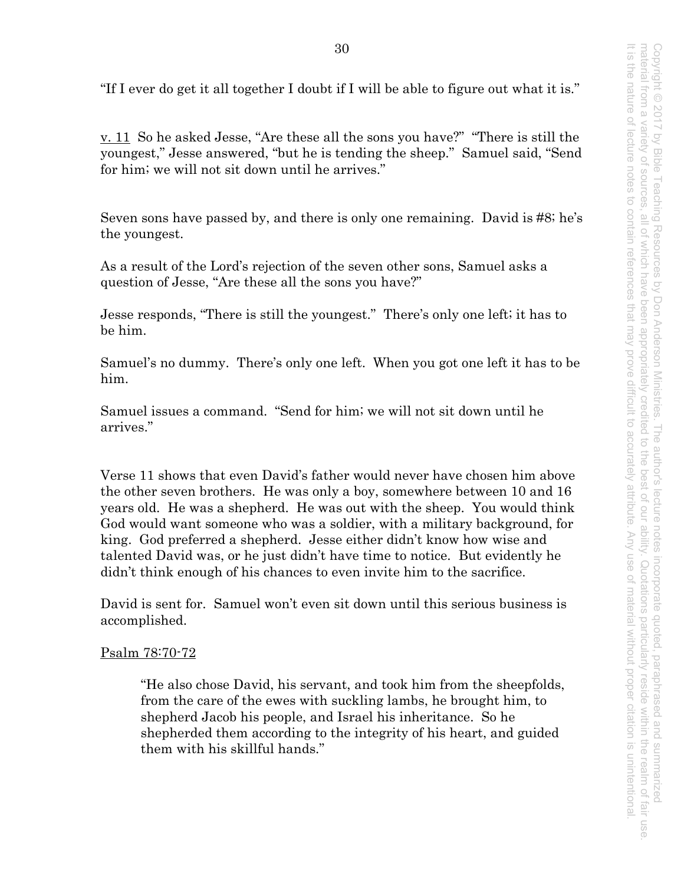"If I ever do get it all together I doubt if I will be able to figure out what it is."

v. 11 So he asked Jesse, "Are these all the sons you have?" "There is still the youngest," Jesse answered, "but he is tending the sheep." Samuel said, "Send for him; we will not sit down until he arrives."

Seven sons have passed by, and there is only one remaining. David is #8; he's the youngest.

As a result of the Lord's rejection of the seven other sons, Samuel asks a question of Jesse, "Are these all the sons you have?"

Jesse responds, "There is still the youngest." There's only one left; it has to be him.

Samuel's no dummy. There's only one left. When you got one left it has to be him.

Samuel issues a command. "Send for him; we will not sit down until he arrives."

Verse 11 shows that even David's father would never have chosen him above the other seven brothers. He was only a boy, somewhere between 10 and 16 years old. He was a shepherd. He was out with the sheep. You would think God would want someone who was a soldier, with a military background, for king. God preferred a shepherd. Jesse either didn't know how wise and talented David was, or he just didn't have time to notice. But evidently he didn't think enough of his chances to even invite him to the sacrifice.

David is sent for. Samuel won't even sit down until this serious business is accomplished.

## Psalm 78:70-72

"He also chose David, his servant, and took him from the sheepfolds, from the care of the ewes with suckling lambs, he brought him, to shepherd Jacob his people, and Israel his inheritance. So he shepherded them according to the integrity of his heart, and guided them with his skillful hands."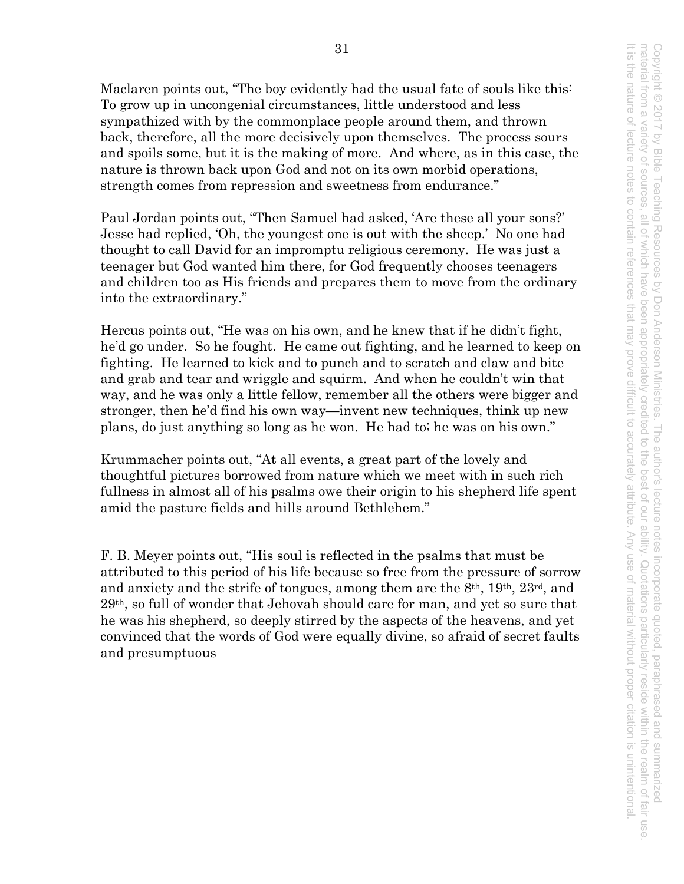Maclaren points out, "The boy evidently had the usual fate of souls like this: To grow up in uncongenial circumstances, little understood and less sympathized with by the commonplace people around them, and thrown back, therefore, all the more decisively upon themselves. The process sours and spoils some, but it is the making of more. And where, as in this case, the nature is thrown back upon God and not on its own morbid operations, strength comes from repression and sweetness from endurance."

Paul Jordan points out, "Then Samuel had asked, 'Are these all your sons?' Jesse had replied, 'Oh, the youngest one is out with the sheep.' No one had thought to call David for an impromptu religious ceremony. He was just a teenager but God wanted him there, for God frequently chooses teenagers and children too as His friends and prepares them to move from the ordinary into the extraordinary."

Hercus points out, "He was on his own, and he knew that if he didn't fight, he'd go under. So he fought. He came out fighting, and he learned to keep on fighting. He learned to kick and to punch and to scratch and claw and bite and grab and tear and wriggle and squirm. And when he couldn't win that way, and he was only a little fellow, remember all the others were bigger and stronger, then he'd find his own way—invent new techniques, think up new plans, do just anything so long as he won. He had to; he was on his own."

Krummacher points out, "At all events, a great part of the lovely and thoughtful pictures borrowed from nature which we meet with in such rich fullness in almost all of his psalms owe their origin to his shepherd life spent amid the pasture fields and hills around Bethlehem."

F. B. Meyer points out, "His soul is reflected in the psalms that must be attributed to this period of his life because so free from the pressure of sorrow and anxiety and the strife of tongues, among them are the 8th, 19th, 23rd, and  $29<sup>th</sup>$ , so full of wonder that Jehovah should care for man, and yet so sure that he was his shepherd, so deeply stirred by the aspects of the heavens, and yet convinced that the words of God were equally divine, so afraid of secret faults and presumptuous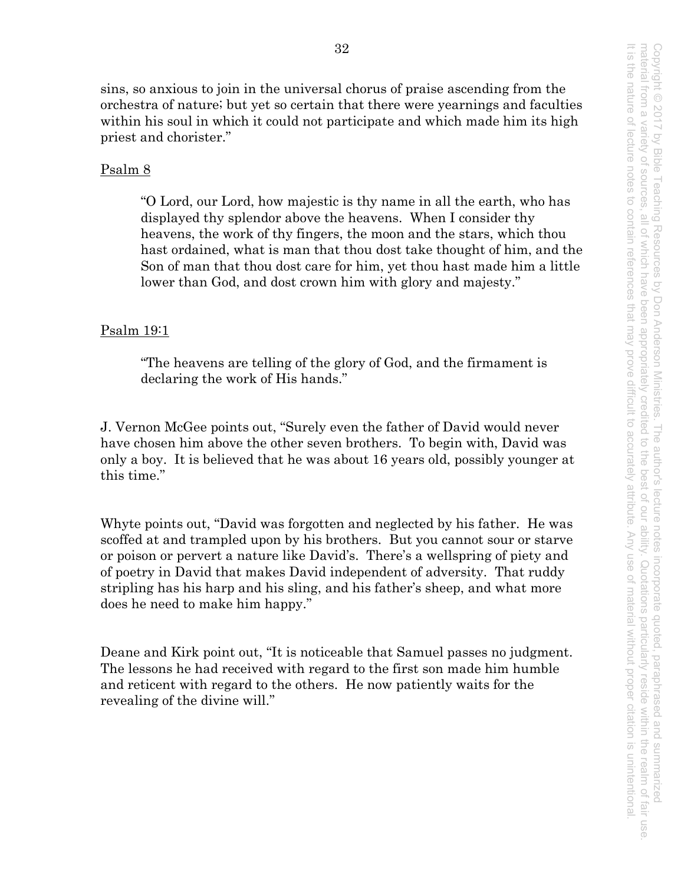sins, so anxious to join in the universal chorus of praise ascending from the orchestra of nature; but yet so certain that there were yearnings and faculties within his soul in which it could not participate and which made him its high priest and chorister."

## Psalm 8

"O Lord, our Lord, how majestic is thy name in all the earth, who has displayed thy splendor above the heavens. When I consider thy heavens, the work of thy fingers, the moon and the stars, which thou hast ordained, what is man that thou dost take thought of him, and the Son of man that thou dost care for him, yet thou hast made him a little lower than God, and dost crown him with glory and majesty."

## Psalm 19:1

"The heavens are telling of the glory of God, and the firmament is declaring the work of His hands."

J. Vernon McGee points out, "Surely even the father of David would never have chosen him above the other seven brothers. To begin with, David was only a boy. It is believed that he was about 16 years old, possibly younger at this time."

Whyte points out, "David was forgotten and neglected by his father. He was scoffed at and trampled upon by his brothers. But you cannot sour or starve or poison or pervert a nature like David's. There's a wellspring of piety and of poetry in David that makes David independent of adversity. That ruddy stripling has his harp and his sling, and his father's sheep, and what more does he need to make him happy."

Deane and Kirk point out, "It is noticeable that Samuel passes no judgment. The lessons he had received with regard to the first son made him humble and reticent with regard to the others. He now patiently waits for the revealing of the divine will."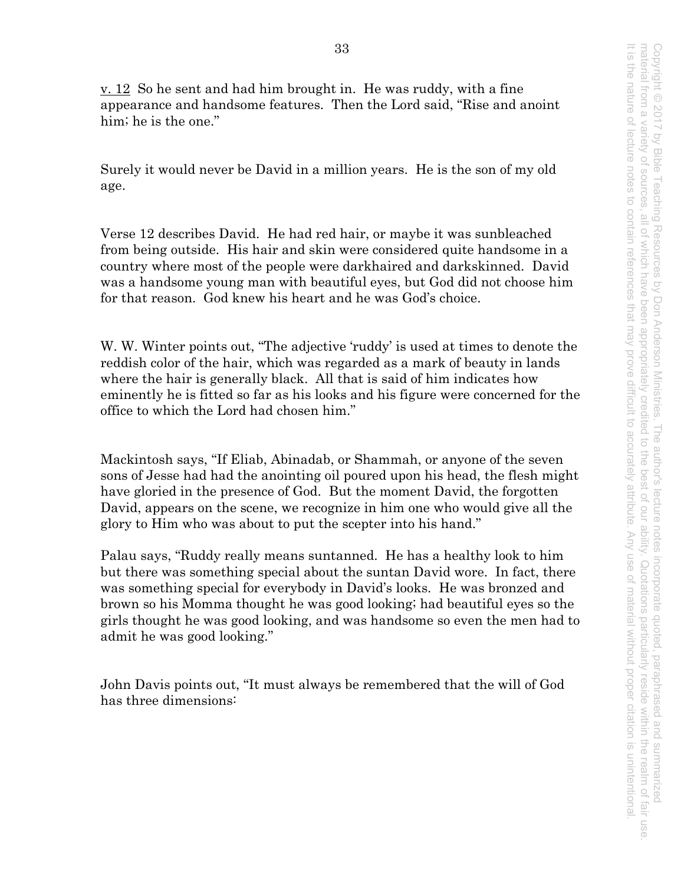v. 12 So he sent and had him brought in. He was ruddy, with a fine appearance and handsome features. Then the Lord said, "Rise and anoint him; he is the one."

Surely it would never be David in a million years. He is the son of my old age.

Verse 12 describes David. He had red hair, or maybe it was sunbleached from being outside. His hair and skin were considered quite handsome in a country where most of the people were darkhaired and darkskinned. David was a handsome young man with beautiful eyes, but God did not choose him for that reason. God knew his heart and he was God's choice.

W. W. Winter points out, "The adjective 'ruddy' is used at times to denote the reddish color of the hair, which was regarded as a mark of beauty in lands where the hair is generally black. All that is said of him indicates how eminently he is fitted so far as his looks and his figure were concerned for the office to which the Lord had chosen him."

Mackintosh says, "If Eliab, Abinadab, or Shammah, or anyone of the seven sons of Jesse had had the anointing oil poured upon his head, the flesh might have gloried in the presence of God. But the moment David, the forgotten David, appears on the scene, we recognize in him one who would give all the glory to Him who was about to put the scepter into his hand."

Palau says, "Ruddy really means suntanned. He has a healthy look to him but there was something special about the suntan David wore. In fact, there was something special for everybody in David's looks. He was bronzed and brown so his Momma thought he was good looking; had beautiful eyes so the girls thought he was good looking, and was handsome so even the men had to admit he was good looking."

John Davis points out, "It must always be remembered that the will of God has three dimensions: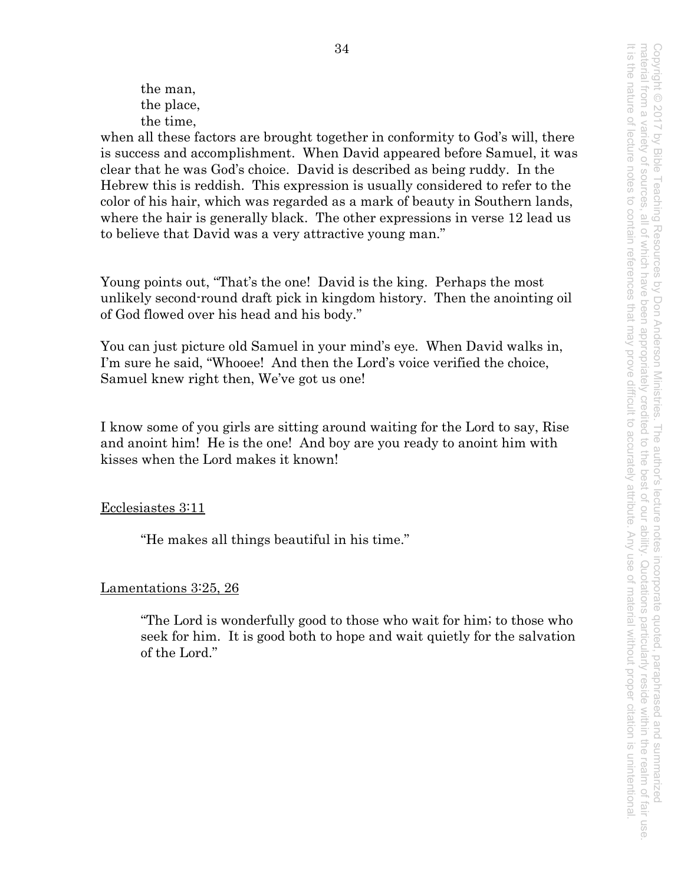the man, the place, the time,

when all these factors are brought together in conformity to God's will, there is success and accomplishment. When David appeared before Samuel, it was clear that he was God's choice. David is described as being ruddy. In the Hebrew this is reddish. This expression is usually considered to refer to the color of his hair, which was regarded as a mark of beauty in Southern lands, where the hair is generally black. The other expressions in verse 12 lead us to believe that David was a very attractive young man."

Young points out, "That's the one! David is the king. Perhaps the most unlikely second-round draft pick in kingdom history. Then the anointing oil of God flowed over his head and his body."

You can just picture old Samuel in your mind's eye. When David walks in, I'm sure he said, "Whooee! And then the Lord's voice verified the choice, Samuel knew right then, We've got us one!

I know some of you girls are sitting around waiting for the Lord to say, Rise and anoint him! He is the one! And boy are you ready to anoint him with kisses when the Lord makes it known!

Ecclesiastes 3:11

"He makes all things beautiful in his time."

## Lamentations 3:25, 26

"The Lord is wonderfully good to those who wait for him; to those who seek for him. It is good both to hope and wait quietly for the salvation of the Lord."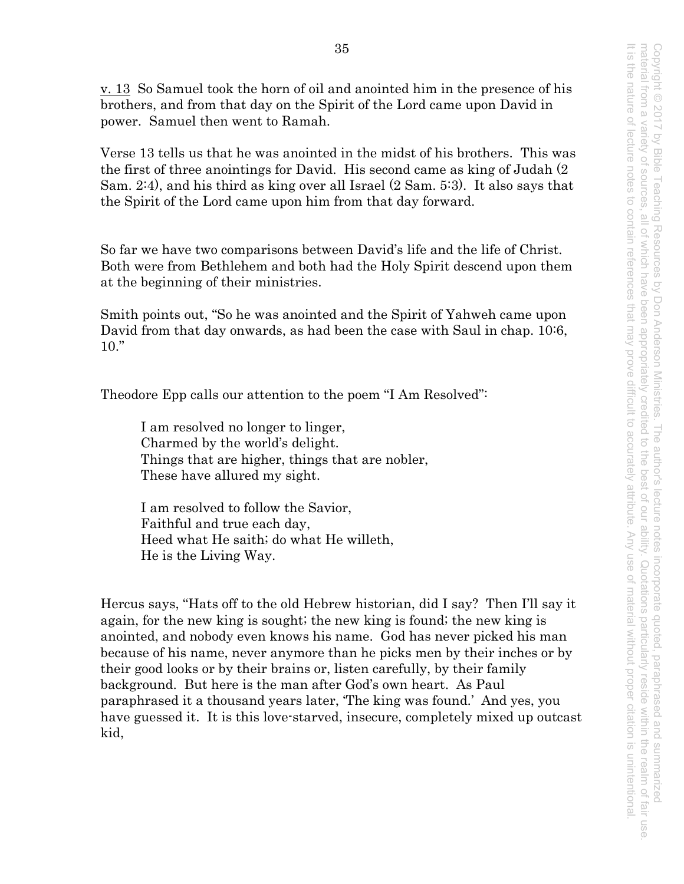v. 13 So Samuel took the horn of oil and anointed him in the presence of his brothers, and from that day on the Spirit of the Lord came upon David in power. Samuel then went to Ramah.

Verse 13 tells us that he was anointed in the midst of his brothers. This was the first of three anointings for David. His second came as king of Judah (2 Sam. 2:4), and his third as king over all Israel (2 Sam. 5:3). It also says that the Spirit of the Lord came upon him from that day forward.

So far we have two comparisons between David's life and the life of Christ. Both were from Bethlehem and both had the Holy Spirit descend upon them at the beginning of their ministries.

Smith points out, "So he was anointed and the Spirit of Yahweh came upon David from that day onwards, as had been the case with Saul in chap. 10:6, 10."

Theodore Epp calls our attention to the poem "I Am Resolved":

I am resolved no longer to linger, Charmed by the world's delight. Things that are higher, things that are nobler, These have allured my sight.

I am resolved to follow the Savior, Faithful and true each day, Heed what He saith; do what He willeth, He is the Living Way.

Hercus says, "Hats off to the old Hebrew historian, did I say? Then I'll say it again, for the new king is sought; the new king is found; the new king is anointed, and nobody even knows his name. God has never picked his man because of his name, never anymore than he picks men by their inches or by their good looks or by their brains or, listen carefully, by their family background. But here is the man after God's own heart. As Paul paraphrased it a thousand years later, 'The king was found.' And yes, you have guessed it. It is this love-starved, insecure, completely mixed up outcast kid,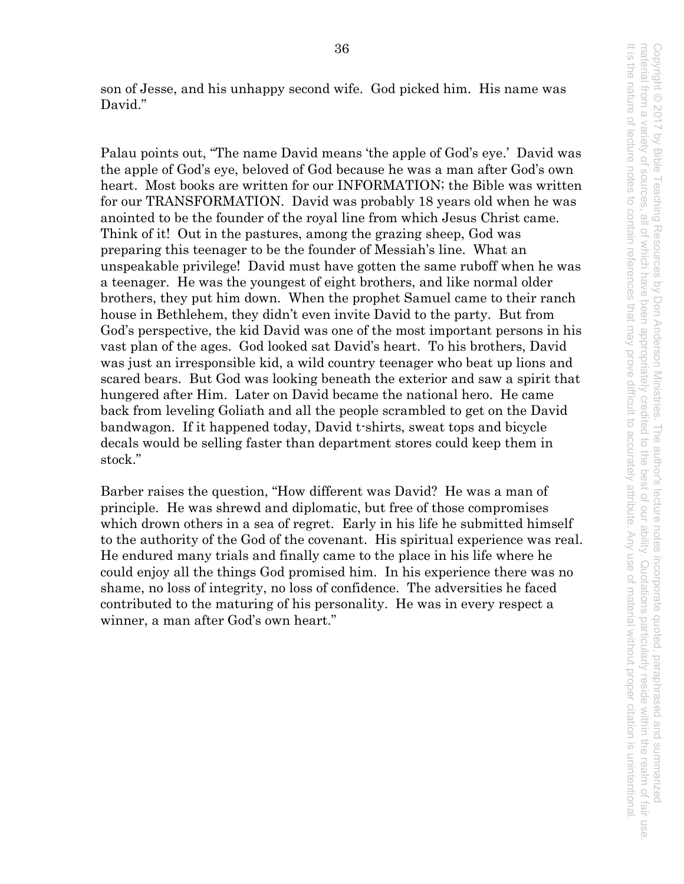son of Jesse, and his unhappy second wife. God picked him. His name was David."

Palau points out, "The name David means 'the apple of God's eye.' David was the apple of God's eye, beloved of God because he was a man after God's own heart. Most books are written for our INFORMATION; the Bible was written for our TRANSFORMATION. David was probably 18 years old when he was anointed to be the founder of the royal line from which Jesus Christ came. Think of it! Out in the pastures, among the grazing sheep, God was preparing this teenager to be the founder of Messiah's line. What an unspeakable privilege! David must have gotten the same ruboff when he was a teenager. He was the youngest of eight brothers, and like normal older brothers, they put him down. When the prophet Samuel came to their ranch house in Bethlehem, they didn't even invite David to the party. But from God's perspective, the kid David was one of the most important persons in his vast plan of the ages. God looked sat David's heart. To his brothers, David was just an irresponsible kid, a wild country teenager who beat up lions and scared bears. But God was looking beneath the exterior and saw a spirit that hungered after Him. Later on David became the national hero. He came back from leveling Goliath and all the people scrambled to get on the David bandwagon. If it happened today, David t-shirts, sweat tops and bicycle decals would be selling faster than department stores could keep them in stock."

Barber raises the question, "How different was David? He was a man of principle. He was shrewd and diplomatic, but free of those compromises which drown others in a sea of regret. Early in his life he submitted himself to the authority of the God of the covenant. His spiritual experience was real. He endured many trials and finally came to the place in his life where he could enjoy all the things God promised him. In his experience there was no shame, no loss of integrity, no loss of confidence. The adversities he faced contributed to the maturing of his personality. He was in every respect a winner, a man after God's own heart."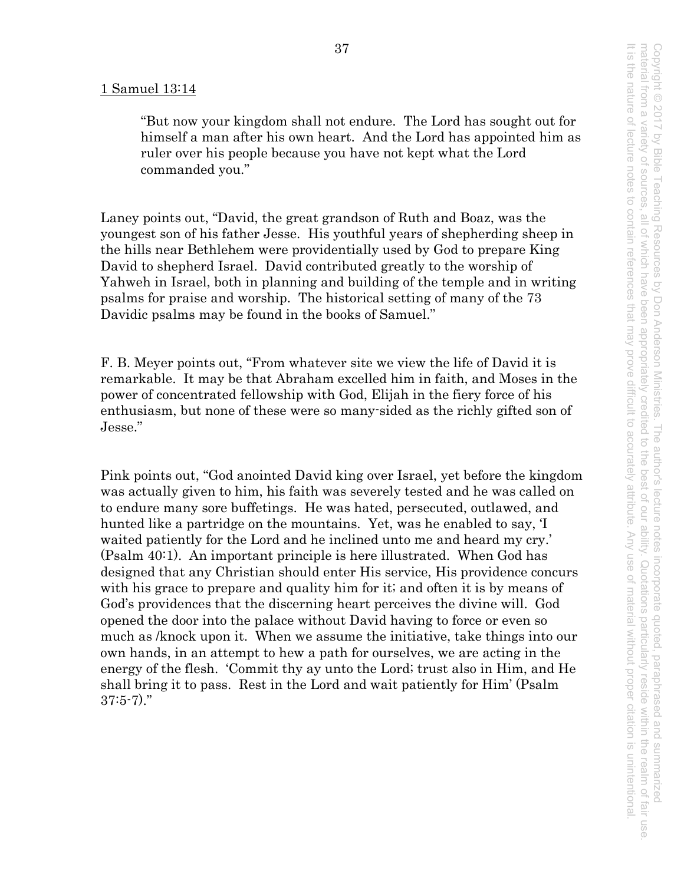#### 1 Samuel 13:14

"But now your kingdom shall not endure. The Lord has sought out for himself a man after his own heart. And the Lord has appointed him as ruler over his people because you have not kept what the Lord commanded you."

Laney points out, "David, the great grandson of Ruth and Boaz, was the youngest son of his father Jesse. His youthful years of shepherding sheep in the hills near Bethlehem were providentially used by God to prepare King David to shepherd Israel. David contributed greatly to the worship of Yahweh in Israel, both in planning and building of the temple and in writing psalms for praise and worship. The historical setting of many of the 73 Davidic psalms may be found in the books of Samuel."

F. B. Meyer points out, "From whatever site we view the life of David it is remarkable. It may be that Abraham excelled him in faith, and Moses in the power of concentrated fellowship with God, Elijah in the fiery force of his enthusiasm, but none of these were so many-sided as the richly gifted son of Jesse."

Pink points out, "God anointed David king over Israel, yet before the kingdom was actually given to him, his faith was severely tested and he was called on to endure many sore buffetings. He was hated, persecuted, outlawed, and hunted like a partridge on the mountains. Yet, was he enabled to say, 'I waited patiently for the Lord and he inclined unto me and heard my cry.' (Psalm 40:1). An important principle is here illustrated. When God has designed that any Christian should enter His service, His providence concurs with his grace to prepare and quality him for it; and often it is by means of God's providences that the discerning heart perceives the divine will. God opened the door into the palace without David having to force or even so much as /knock upon it. When we assume the initiative, take things into our own hands, in an attempt to hew a path for ourselves, we are acting in the energy of the flesh. 'Commit thy ay unto the Lord; trust also in Him, and He shall bring it to pass. Rest in the Lord and wait patiently for Him' (Psalm  $37:5-7$ ."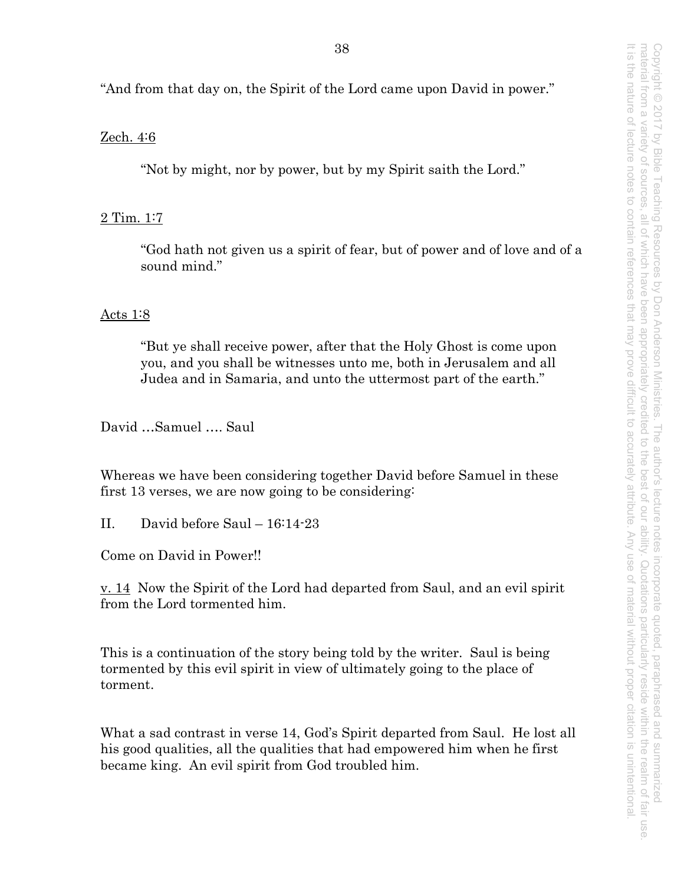38

"And from that day on, the Spirit of the Lord came upon David in power."

## Zech. 4:6

"Not by might, nor by power, but by my Spirit saith the Lord."

### 2 Tim. 1:7

"God hath not given us a spirit of fear, but of power and of love and of a sound mind."

### Acts 1:8

"But ye shall receive power, after that the Holy Ghost is come upon you, and you shall be witnesses unto me, both in Jerusalem and all Judea and in Samaria, and unto the uttermost part of the earth."

David …Samuel …. Saul

Whereas we have been considering together David before Samuel in these first 13 verses, we are now going to be considering:

II. David before Saul – 16:14-23

Come on David in Power!!

 $\underline{v}$ . 14 Now the Spirit of the Lord had departed from Saul, and an evil spirit from the Lord tormented him.

This is a continuation of the story being told by the writer. Saul is being tormented by this evil spirit in view of ultimately going to the place of torment.

What a sad contrast in verse 14, God's Spirit departed from Saul. He lost all his good qualities, all the qualities that had empowered him when he first became king. An evil spirit from God troubled him.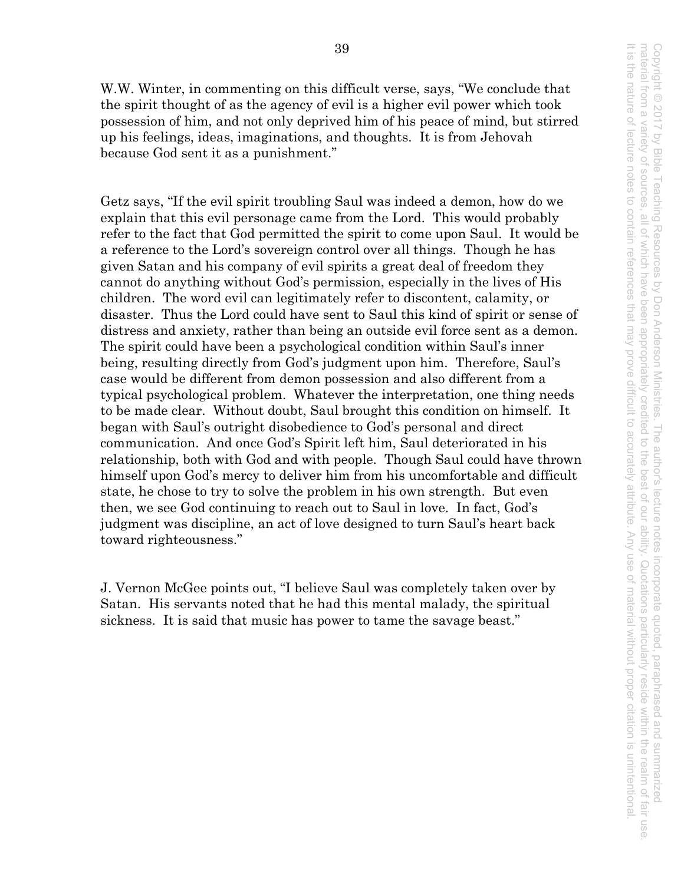W.W. Winter, in commenting on this difficult verse, says, "We conclude that the spirit thought of as the agency of evil is a higher evil power which took possession of him, and not only deprived him of his peace of mind, but stirred up his feelings, ideas, imaginations, and thoughts. It is from Jehovah because God sent it as a punishment."

Getz says, "If the evil spirit troubling Saul was indeed a demon, how do we explain that this evil personage came from the Lord. This would probably refer to the fact that God permitted the spirit to come upon Saul. It would be a reference to the Lord's sovereign control over all things. Though he has given Satan and his company of evil spirits a great deal of freedom they cannot do anything without God's permission, especially in the lives of His children. The word evil can legitimately refer to discontent, calamity, or disaster. Thus the Lord could have sent to Saul this kind of spirit or sense of distress and anxiety, rather than being an outside evil force sent as a demon. The spirit could have been a psychological condition within Saul's inner being, resulting directly from God's judgment upon him. Therefore, Saul's case would be different from demon possession and also different from a typical psychological problem. Whatever the interpretation, one thing needs to be made clear. Without doubt, Saul brought this condition on himself. It began with Saul's outright disobedience to God's personal and direct communication. And once God's Spirit left him, Saul deteriorated in his relationship, both with God and with people. Though Saul could have thrown himself upon God's mercy to deliver him from his uncomfortable and difficult state, he chose to try to solve the problem in his own strength. But even then, we see God continuing to reach out to Saul in love. In fact, God's judgment was discipline, an act of love designed to turn Saul's heart back toward righteousness."

J. Vernon McGee points out, "I believe Saul was completely taken over by Satan. His servants noted that he had this mental malady, the spiritual sickness. It is said that music has power to tame the savage beast."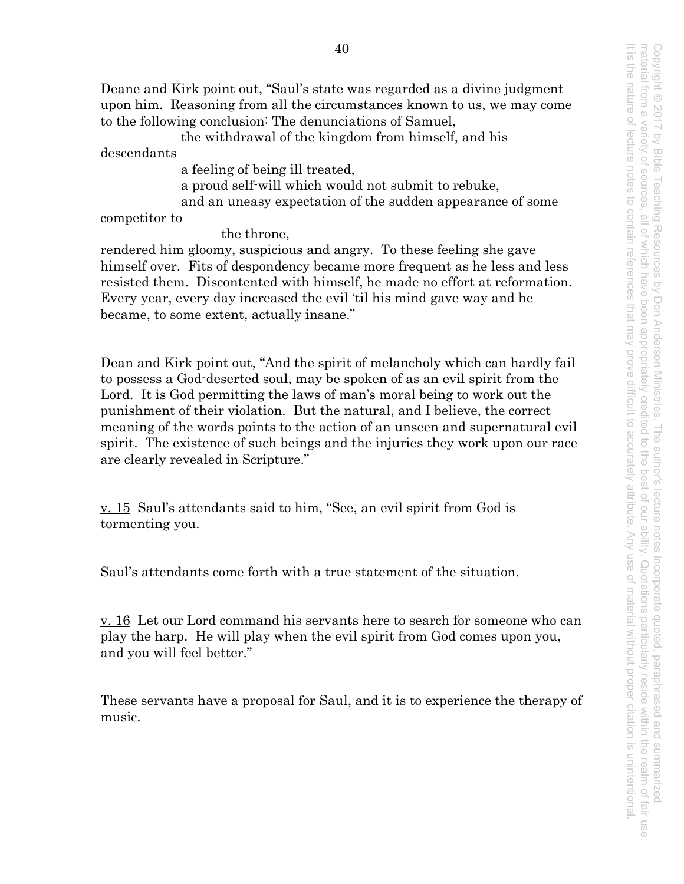Deane and Kirk point out, "Saul's state was regarded as a divine judgment upon him. Reasoning from all the circumstances known to us, we may come to the following conclusion: The denunciations of Samuel,

 the withdrawal of the kingdom from himself, and his descendants

 a feeling of being ill treated, a proud self-will which would not submit to rebuke, and an uneasy expectation of the sudden appearance of some competitor to

the throne,

rendered him gloomy, suspicious and angry. To these feeling she gave himself over. Fits of despondency became more frequent as he less and less resisted them. Discontented with himself, he made no effort at reformation. Every year, every day increased the evil 'til his mind gave way and he became, to some extent, actually insane."

Dean and Kirk point out, "And the spirit of melancholy which can hardly fail to possess a God-deserted soul, may be spoken of as an evil spirit from the Lord. It is God permitting the laws of man's moral being to work out the punishment of their violation. But the natural, and I believe, the correct meaning of the words points to the action of an unseen and supernatural evil spirit. The existence of such beings and the injuries they work upon our race are clearly revealed in Scripture."

<u>v. 15</u> Saul's attendants said to him, "See, an evil spirit from God is tormenting you.

Saul's attendants come forth with a true statement of the situation.

v. 16 Let our Lord command his servants here to search for someone who can play the harp. He will play when the evil spirit from God comes upon you, and you will feel better."

These servants have a proposal for Saul, and it is to experience the therapy of music.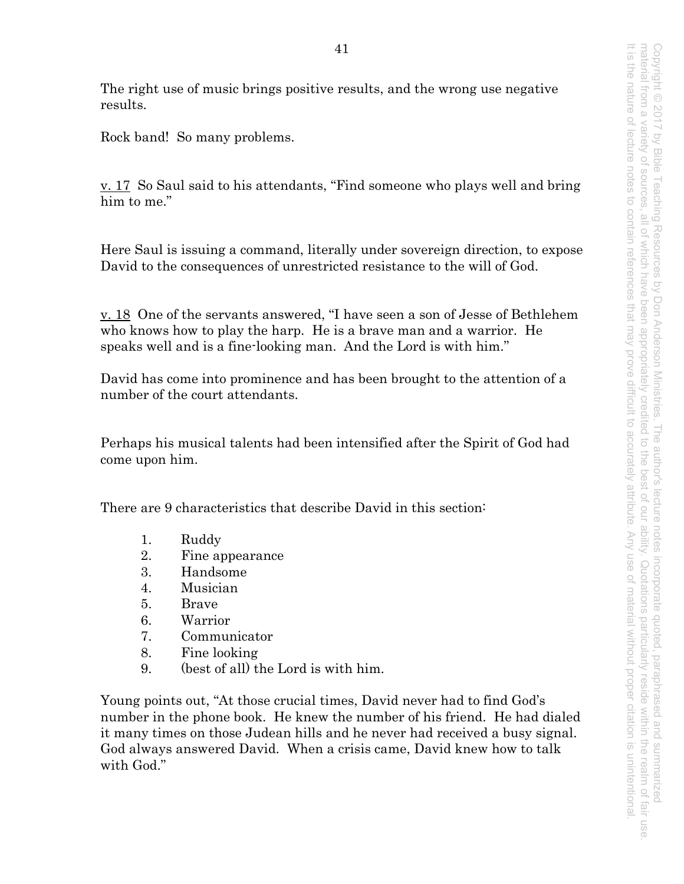The right use of music brings positive results, and the wrong use negative results.

Rock band! So many problems.

v. 17 So Saul said to his attendants, "Find someone who plays well and bring him to me."

Here Saul is issuing a command, literally under sovereign direction, to expose David to the consequences of unrestricted resistance to the will of God.

v. 18 One of the servants answered, "I have seen a son of Jesse of Bethlehem who knows how to play the harp. He is a brave man and a warrior. He speaks well and is a fine-looking man. And the Lord is with him."

David has come into prominence and has been brought to the attention of a number of the court attendants.

Perhaps his musical talents had been intensified after the Spirit of God had come upon him.

There are 9 characteristics that describe David in this section:

- 1. Ruddy
- 2. Fine appearance
- 3. Handsome
- 4. Musician
- 5. Brave
- 6. Warrior
- 7. Communicator
- 8. Fine looking
- 9. (best of all) the Lord is with him.

Young points out, "At those crucial times, David never had to find God's number in the phone book. He knew the number of his friend. He had dialed it many times on those Judean hills and he never had received a busy signal. God always answered David. When a crisis came, David knew how to talk with God."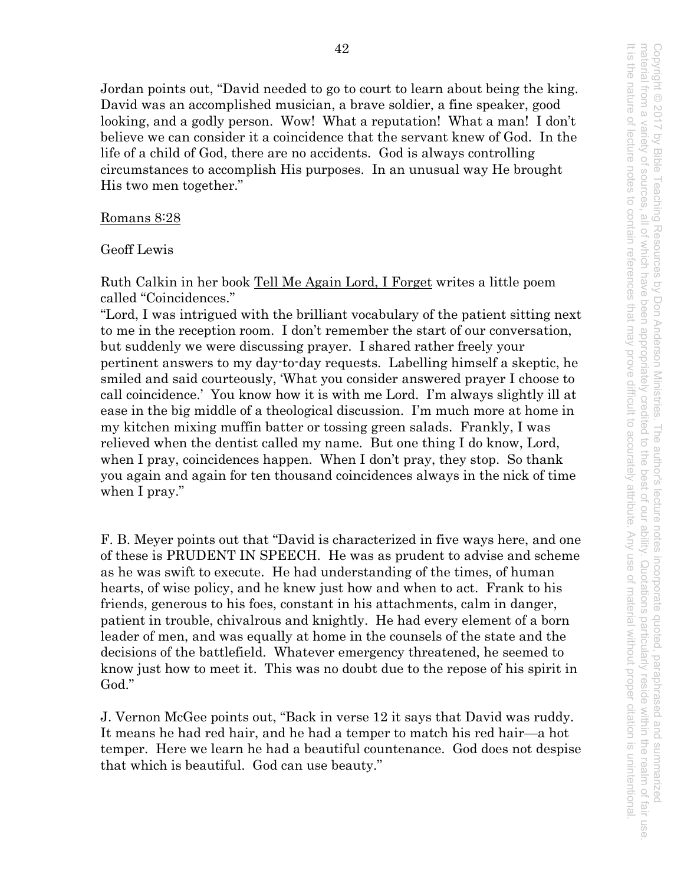Jordan points out, "David needed to go to court to learn about being the king. David was an accomplished musician, a brave soldier, a fine speaker, good looking, and a godly person. Wow! What a reputation! What a man! I don't believe we can consider it a coincidence that the servant knew of God. In the life of a child of God, there are no accidents. God is always controlling circumstances to accomplish His purposes. In an unusual way He brought His two men together."

## Romans 8:28

## Geoff Lewis

Ruth Calkin in her book Tell Me Again Lord, I Forget writes a little poem called "Coincidences."

"Lord, I was intrigued with the brilliant vocabulary of the patient sitting next to me in the reception room. I don't remember the start of our conversation, but suddenly we were discussing prayer. I shared rather freely your pertinent answers to my day-to-day requests. Labelling himself a skeptic, he smiled and said courteously, 'What you consider answered prayer I choose to call coincidence.' You know how it is with me Lord. I'm always slightly ill at ease in the big middle of a theological discussion. I'm much more at home in my kitchen mixing muffin batter or tossing green salads. Frankly, I was relieved when the dentist called my name. But one thing I do know, Lord, when I pray, coincidences happen. When I don't pray, they stop. So thank you again and again for ten thousand coincidences always in the nick of time when I pray."

F. B. Meyer points out that "David is characterized in five ways here, and one of these is PRUDENT IN SPEECH. He was as prudent to advise and scheme as he was swift to execute. He had understanding of the times, of human hearts, of wise policy, and he knew just how and when to act. Frank to his friends, generous to his foes, constant in his attachments, calm in danger, patient in trouble, chivalrous and knightly. He had every element of a born leader of men, and was equally at home in the counsels of the state and the decisions of the battlefield. Whatever emergency threatened, he seemed to know just how to meet it. This was no doubt due to the repose of his spirit in God."

J. Vernon McGee points out, "Back in verse 12 it says that David was ruddy. It means he had red hair, and he had a temper to match his red hair—a hot temper. Here we learn he had a beautiful countenance. God does not despise that which is beautiful. God can use beauty."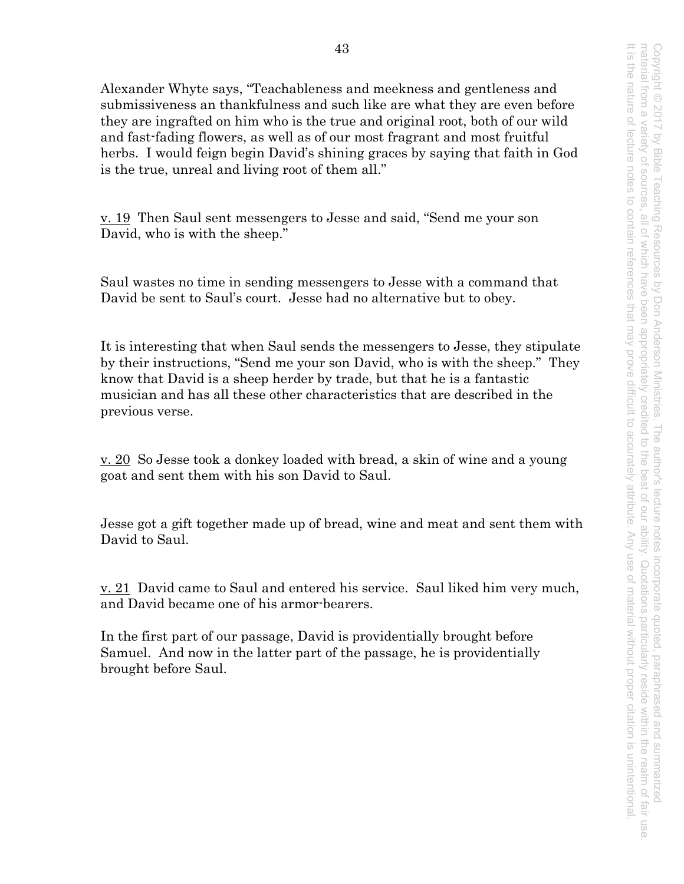Alexander Whyte says, "Teachableness and meekness and gentleness and submissiveness an thankfulness and such like are what they are even before they are ingrafted on him who is the true and original root, both of our wild and fast-fading flowers, as well as of our most fragrant and most fruitful herbs. I would feign begin David's shining graces by saying that faith in God is the true, unreal and living root of them all."

v. 19 Then Saul sent messengers to Jesse and said, "Send me your son David, who is with the sheep."

Saul wastes no time in sending messengers to Jesse with a command that David be sent to Saul's court. Jesse had no alternative but to obey.

It is interesting that when Saul sends the messengers to Jesse, they stipulate by their instructions, "Send me your son David, who is with the sheep." They know that David is a sheep herder by trade, but that he is a fantastic musician and has all these other characteristics that are described in the previous verse.

 $\underline{v}$ . 20 So Jesse took a donkey loaded with bread, a skin of wine and a young goat and sent them with his son David to Saul.

Jesse got a gift together made up of bread, wine and meat and sent them with David to Saul.

<u>v. 21</u> David came to Saul and entered his service. Saul liked him very much, and David became one of his armor-bearers.

In the first part of our passage, David is providentially brought before Samuel. And now in the latter part of the passage, he is providentially brought before Saul.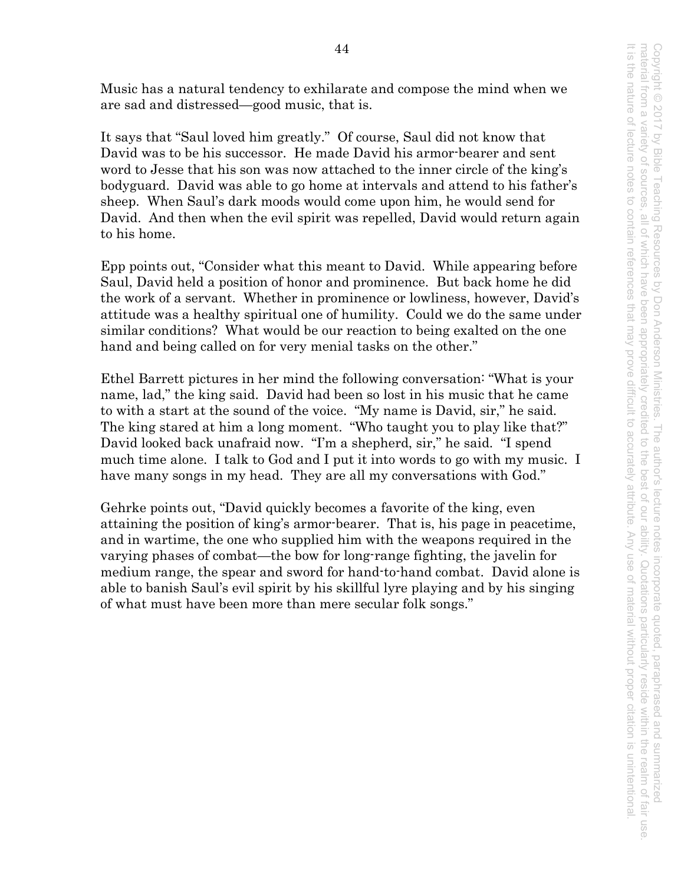Music has a natural tendency to exhilarate and compose the mind when we are sad and distressed—good music, that is.

It says that "Saul loved him greatly." Of course, Saul did not know that David was to be his successor. He made David his armor-bearer and sent word to Jesse that his son was now attached to the inner circle of the king's bodyguard. David was able to go home at intervals and attend to his father's sheep. When Saul's dark moods would come upon him, he would send for David. And then when the evil spirit was repelled, David would return again to his home.

Epp points out, "Consider what this meant to David. While appearing before Saul, David held a position of honor and prominence. But back home he did the work of a servant. Whether in prominence or lowliness, however, David's attitude was a healthy spiritual one of humility. Could we do the same under similar conditions? What would be our reaction to being exalted on the one hand and being called on for very menial tasks on the other."

Ethel Barrett pictures in her mind the following conversation: "What is your name, lad," the king said. David had been so lost in his music that he came to with a start at the sound of the voice. "My name is David, sir," he said. The king stared at him a long moment. "Who taught you to play like that?" David looked back unafraid now. "I'm a shepherd, sir," he said. "I spend much time alone. I talk to God and I put it into words to go with my music. I have many songs in my head. They are all my conversations with God."

Gehrke points out, "David quickly becomes a favorite of the king, even attaining the position of king's armor-bearer. That is, his page in peacetime, and in wartime, the one who supplied him with the weapons required in the varying phases of combat—the bow for long-range fighting, the javelin for medium range, the spear and sword for hand-to-hand combat. David alone is able to banish Saul's evil spirit by his skillful lyre playing and by his singing of what must have been more than mere secular folk songs."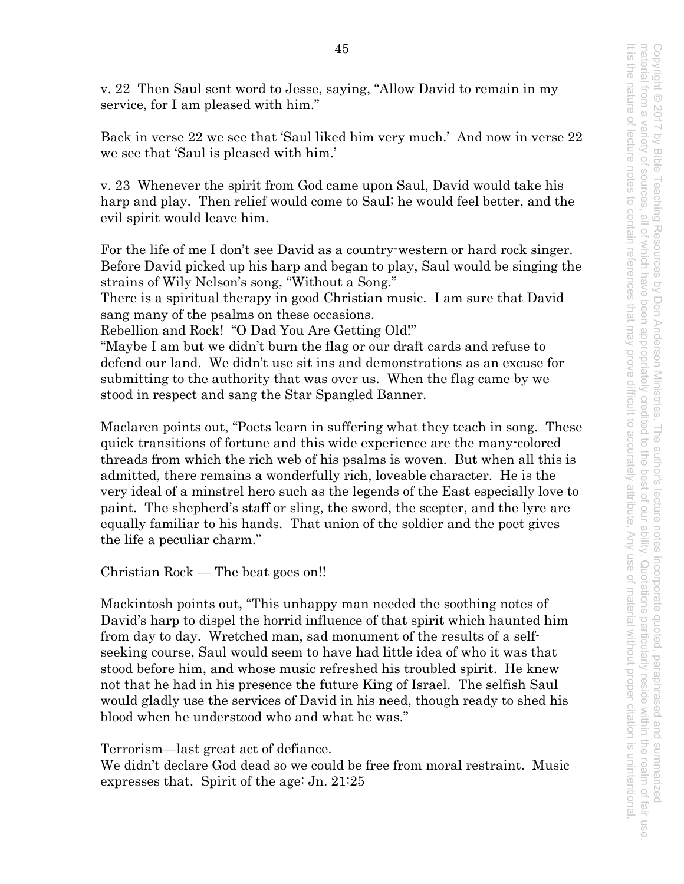<u>v. 22</u> Then Saul sent word to Jesse, saying, "Allow David to remain in my service, for I am pleased with him."

Back in verse 22 we see that 'Saul liked him very much.' And now in verse 22 we see that 'Saul is pleased with him.'

v. 23 Whenever the spirit from God came upon Saul, David would take his harp and play. Then relief would come to Saul; he would feel better, and the evil spirit would leave him.

For the life of me I don't see David as a country-western or hard rock singer. Before David picked up his harp and began to play, Saul would be singing the strains of Wily Nelson's song, "Without a Song."

There is a spiritual therapy in good Christian music. I am sure that David sang many of the psalms on these occasions.

Rebellion and Rock! "O Dad You Are Getting Old!"

"Maybe I am but we didn't burn the flag or our draft cards and refuse to defend our land. We didn't use sit ins and demonstrations as an excuse for submitting to the authority that was over us. When the flag came by we stood in respect and sang the Star Spangled Banner.

Maclaren points out, "Poets learn in suffering what they teach in song. These quick transitions of fortune and this wide experience are the many-colored threads from which the rich web of his psalms is woven. But when all this is admitted, there remains a wonderfully rich, loveable character. He is the very ideal of a minstrel hero such as the legends of the East especially love to paint. The shepherd's staff or sling, the sword, the scepter, and the lyre are equally familiar to his hands. That union of the soldier and the poet gives the life a peculiar charm."

Christian Rock — The beat goes on!!

Mackintosh points out, "This unhappy man needed the soothing notes of David's harp to dispel the horrid influence of that spirit which haunted him from day to day. Wretched man, sad monument of the results of a selfseeking course, Saul would seem to have had little idea of who it was that stood before him, and whose music refreshed his troubled spirit. He knew not that he had in his presence the future King of Israel. The selfish Saul would gladly use the services of David in his need, though ready to shed his blood when he understood who and what he was."

Terrorism—last great act of defiance.

We didn't declare God dead so we could be free from moral restraint. Music expresses that. Spirit of the age: Jn. 21:25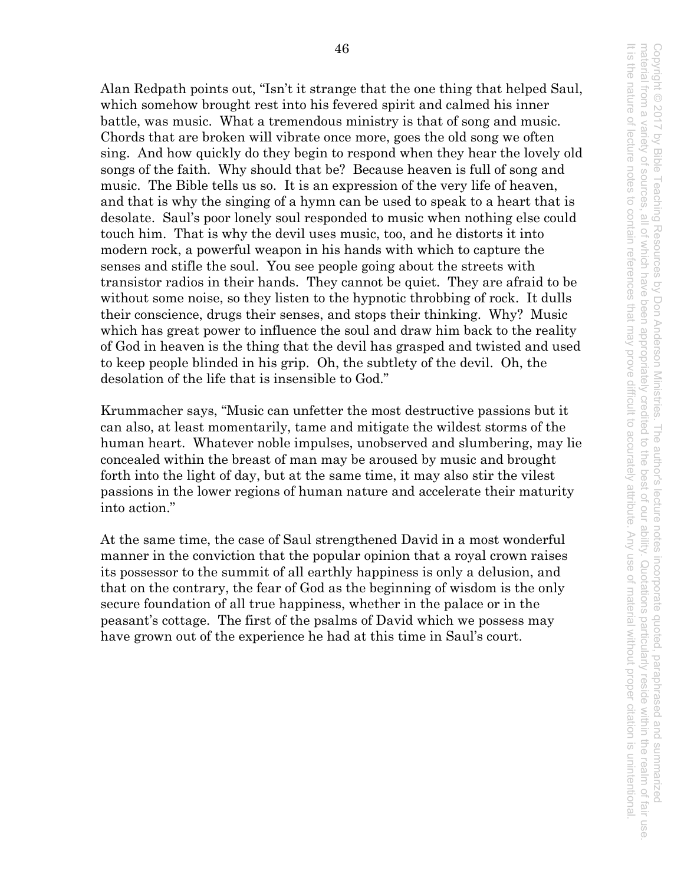Alan Redpath points out, "Isn't it strange that the one thing that helped Saul, which somehow brought rest into his fevered spirit and calmed his inner battle, was music. What a tremendous ministry is that of song and music. Chords that are broken will vibrate once more, goes the old song we often sing. And how quickly do they begin to respond when they hear the lovely old songs of the faith. Why should that be? Because heaven is full of song and music. The Bible tells us so. It is an expression of the very life of heaven, and that is why the singing of a hymn can be used to speak to a heart that is desolate. Saul's poor lonely soul responded to music when nothing else could touch him. That is why the devil uses music, too, and he distorts it into modern rock, a powerful weapon in his hands with which to capture the senses and stifle the soul. You see people going about the streets with transistor radios in their hands. They cannot be quiet. They are afraid to be without some noise, so they listen to the hypnotic throbbing of rock. It dulls their conscience, drugs their senses, and stops their thinking. Why? Music which has great power to influence the soul and draw him back to the reality of God in heaven is the thing that the devil has grasped and twisted and used to keep people blinded in his grip. Oh, the subtlety of the devil. Oh, the desolation of the life that is insensible to God."

Krummacher says, "Music can unfetter the most destructive passions but it can also, at least momentarily, tame and mitigate the wildest storms of the human heart. Whatever noble impulses, unobserved and slumbering, may lie concealed within the breast of man may be aroused by music and brought forth into the light of day, but at the same time, it may also stir the vilest passions in the lower regions of human nature and accelerate their maturity into action."

At the same time, the case of Saul strengthened David in a most wonderful manner in the conviction that the popular opinion that a royal crown raises its possessor to the summit of all earthly happiness is only a delusion, and that on the contrary, the fear of God as the beginning of wisdom is the only secure foundation of all true happiness, whether in the palace or in the peasant's cottage. The first of the psalms of David which we possess may have grown out of the experience he had at this time in Saul's court.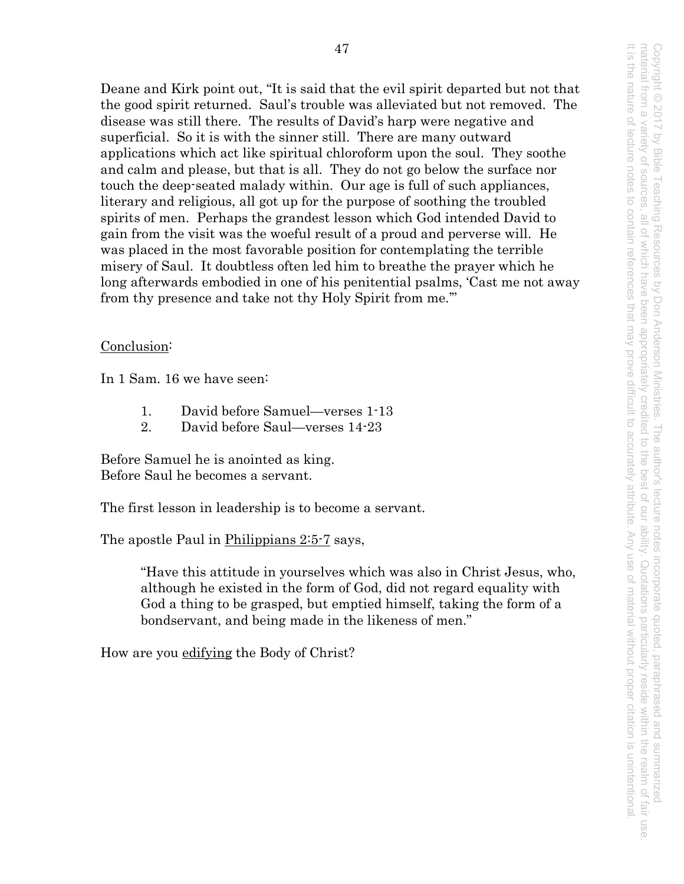Deane and Kirk point out, "It is said that the evil spirit departed but not that the good spirit returned. Saul's trouble was alleviated but not removed. The disease was still there. The results of David's harp were negative and superficial. So it is with the sinner still. There are many outward applications which act like spiritual chloroform upon the soul. They soothe and calm and please, but that is all. They do not go below the surface nor touch the deep-seated malady within. Our age is full of such appliances, literary and religious, all got up for the purpose of soothing the troubled spirits of men. Perhaps the grandest lesson which God intended David to gain from the visit was the woeful result of a proud and perverse will. He was placed in the most favorable position for contemplating the terrible misery of Saul. It doubtless often led him to breathe the prayer which he long afterwards embodied in one of his penitential psalms, 'Cast me not away from thy presence and take not thy Holy Spirit from me.'"

# Conclusion:

In 1 Sam. 16 we have seen:

- 1. David before Samuel—verses 1-13
- 2. David before Saul—verses 14-23

Before Samuel he is anointed as king. Before Saul he becomes a servant.

The first lesson in leadership is to become a servant.

The apostle Paul in Philippians 2:5-7 says,

"Have this attitude in yourselves which was also in Christ Jesus, who, although he existed in the form of God, did not regard equality with God a thing to be grasped, but emptied himself, taking the form of a bondservant, and being made in the likeness of men."

How are you edifying the Body of Christ?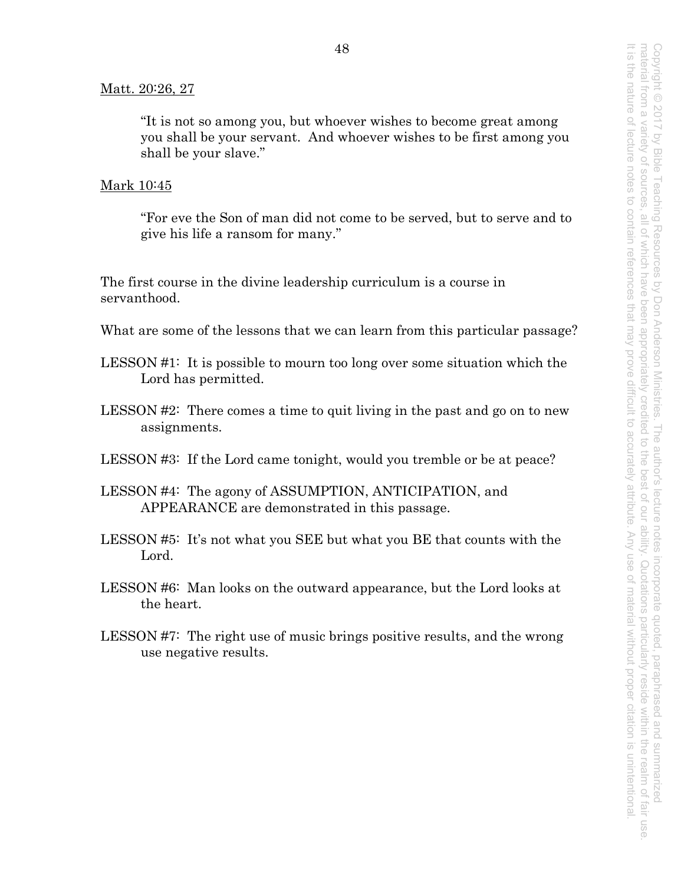#### Matt. 20:26, 27

"It is not so among you, but whoever wishes to become great among you shall be your servant. And whoever wishes to be first among you shall be your slave."

### Mark 10:45

"For eve the Son of man did not come to be served, but to serve and to give his life a ransom for many."

The first course in the divine leadership curriculum is a course in servanthood.

- What are some of the lessons that we can learn from this particular passage?
- LESSON #1: It is possible to mourn too long over some situation which the Lord has permitted.
- LESSON #2: There comes a time to quit living in the past and go on to new assignments.
- LESSON #3: If the Lord came tonight, would you tremble or be at peace?
- LESSON #4: The agony of ASSUMPTION, ANTICIPATION, and APPEARANCE are demonstrated in this passage.
- LESSON #5: It's not what you SEE but what you BE that counts with the Lord.
- LESSON #6: Man looks on the outward appearance, but the Lord looks at the heart.
- LESSON #7: The right use of music brings positive results, and the wrong use negative results.